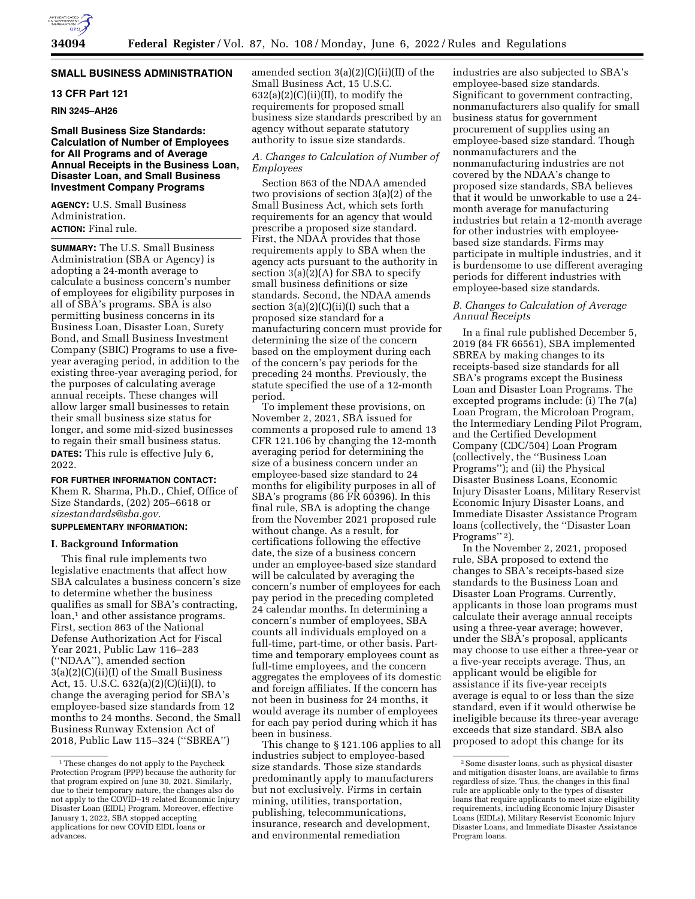# **SMALL BUSINESS ADMINISTRATION**

# **13 CFR Part 121**

**RIN 3245–AH26** 

# **Small Business Size Standards: Calculation of Number of Employees for All Programs and of Average Annual Receipts in the Business Loan, Disaster Loan, and Small Business Investment Company Programs**

**AGENCY:** U.S. Small Business Administration. **ACTION:** Final rule.

**SUMMARY:** The U.S. Small Business Administration (SBA or Agency) is adopting a 24-month average to calculate a business concern's number of employees for eligibility purposes in all of SBA's programs. SBA is also permitting business concerns in its Business Loan, Disaster Loan, Surety Bond, and Small Business Investment Company (SBIC) Programs to use a fiveyear averaging period, in addition to the existing three-year averaging period, for the purposes of calculating average annual receipts. These changes will allow larger small businesses to retain their small business size status for longer, and some mid-sized businesses to regain their small business status. **DATES:** This rule is effective July 6, 2022.

# **FOR FURTHER INFORMATION CONTACT:**

Khem R. Sharma, Ph.D., Chief, Office of Size Standards, (202) 205–6618 or *[sizestandards@sba.gov.](mailto:sizestandards@sba.gov)* 

# **SUPPLEMENTARY INFORMATION:**

# **I. Background Information**

This final rule implements two legislative enactments that affect how SBA calculates a business concern's size to determine whether the business qualifies as small for SBA's contracting, loan,<sup>1</sup> and other assistance programs. First, section 863 of the National Defense Authorization Act for Fiscal Year 2021, Public Law 116–283 (''NDAA''), amended section 3(a)(2)(C)(ii)(I) of the Small Business Act, 15. U.S.C. 632(a)(2)(C)(ii)(I), to change the averaging period for SBA's employee-based size standards from 12 months to 24 months. Second, the Small Business Runway Extension Act of 2018, Public Law 115–324 (''SBREA'')

amended section 3(a)(2)(C)(ii)(II) of the Small Business Act, 15 U.S.C.  $632(a)(2)(C)(ii)(II)$ , to modify the requirements for proposed small business size standards prescribed by an agency without separate statutory authority to issue size standards.

# *A. Changes to Calculation of Number of Employees*

Section 863 of the NDAA amended two provisions of section 3(a)(2) of the Small Business Act, which sets forth requirements for an agency that would prescribe a proposed size standard. First, the NDAA provides that those requirements apply to SBA when the agency acts pursuant to the authority in section  $3(a)(2)(A)$  for SBA to specify small business definitions or size standards. Second, the NDAA amends section  $3(a)(2)(C)(ii)(I)$  such that a proposed size standard for a manufacturing concern must provide for determining the size of the concern based on the employment during each of the concern's pay periods for the preceding 24 months. Previously, the statute specified the use of a 12-month period.

To implement these provisions, on November 2, 2021, SBA issued for comments a proposed rule to amend 13 CFR 121.106 by changing the 12-month averaging period for determining the size of a business concern under an employee-based size standard to 24 months for eligibility purposes in all of SBA's programs (86 FR 60396). In this final rule, SBA is adopting the change from the November 2021 proposed rule without change. As a result, for certifications following the effective date, the size of a business concern under an employee-based size standard will be calculated by averaging the concern's number of employees for each pay period in the preceding completed 24 calendar months. In determining a concern's number of employees, SBA counts all individuals employed on a full-time, part-time, or other basis. Parttime and temporary employees count as full-time employees, and the concern aggregates the employees of its domestic and foreign affiliates. If the concern has not been in business for 24 months, it would average its number of employees for each pay period during which it has been in business.

This change to § 121.106 applies to all industries subject to employee-based size standards. Those size standards predominantly apply to manufacturers but not exclusively. Firms in certain mining, utilities, transportation, publishing, telecommunications, insurance, research and development, and environmental remediation

industries are also subjected to SBA's employee-based size standards. Significant to government contracting, nonmanufacturers also qualify for small business status for government procurement of supplies using an employee-based size standard. Though nonmanufacturers and the nonmanufacturing industries are not covered by the NDAA's change to proposed size standards, SBA believes that it would be unworkable to use a 24 month average for manufacturing industries but retain a 12-month average for other industries with employeebased size standards. Firms may participate in multiple industries, and it is burdensome to use different averaging periods for different industries with employee-based size standards.

# *B. Changes to Calculation of Average Annual Receipts*

In a final rule published December 5, 2019 (84 FR 66561), SBA implemented SBREA by making changes to its receipts-based size standards for all SBA's programs except the Business Loan and Disaster Loan Programs. The excepted programs include: (i) The 7(a) Loan Program, the Microloan Program, the Intermediary Lending Pilot Program, and the Certified Development Company (CDC/504) Loan Program (collectively, the ''Business Loan Programs''); and (ii) the Physical Disaster Business Loans, Economic Injury Disaster Loans, Military Reservist Economic Injury Disaster Loans, and Immediate Disaster Assistance Program loans (collectively, the ''Disaster Loan Programs'' 2).

In the November 2, 2021, proposed rule, SBA proposed to extend the changes to SBA's receipts-based size standards to the Business Loan and Disaster Loan Programs. Currently, applicants in those loan programs must calculate their average annual receipts using a three-year average; however, under the SBA's proposal, applicants may choose to use either a three-year or a five-year receipts average. Thus, an applicant would be eligible for assistance if its five-year receipts average is equal to or less than the size standard, even if it would otherwise be ineligible because its three-year average exceeds that size standard. SBA also proposed to adopt this change for its

<sup>&</sup>lt;sup>1</sup>These changes do not apply to the Paycheck Protection Program (PPP) because the authority for that program expired on June 30, 2021. Similarly, due to their temporary nature, the changes also do not apply to the COVID–19 related Economic Injury Disaster Loan (EIDL) Program. Moreover, effective January 1, 2022, SBA stopped accepting applications for new COVID EIDL loans or advances.

<sup>2</sup>Some disaster loans, such as physical disaster and mitigation disaster loans, are available to firms regardless of size. Thus, the changes in this final rule are applicable only to the types of disaster loans that require applicants to meet size eligibility requirements, including Economic Injury Disaster Loans (EIDLs), Military Reservist Economic Injury Disaster Loans, and Immediate Disaster Assistance Program loans.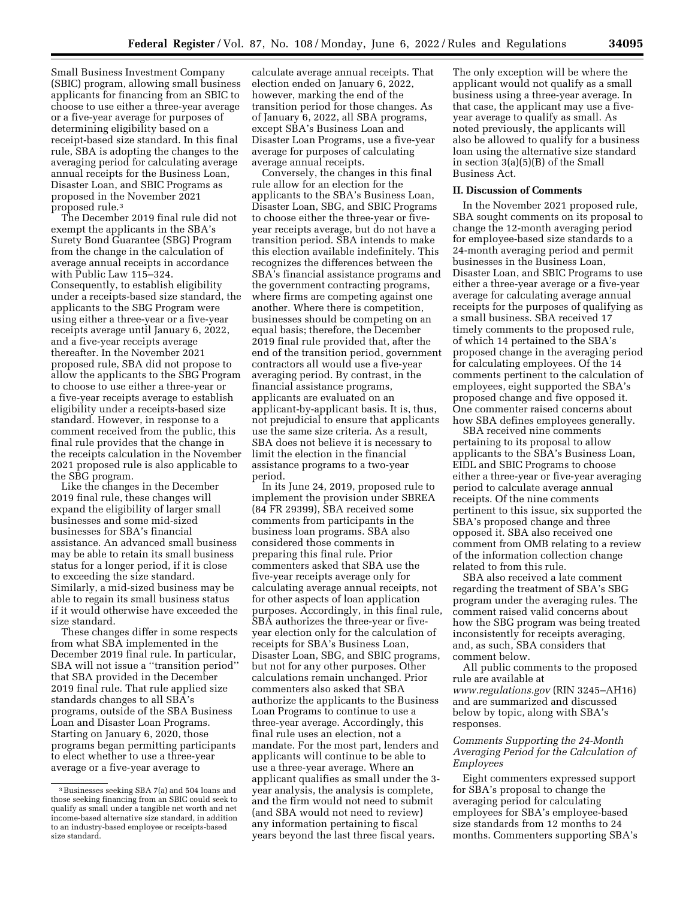Small Business Investment Company (SBIC) program, allowing small business applicants for financing from an SBIC to choose to use either a three-year average or a five-year average for purposes of determining eligibility based on a receipt-based size standard. In this final rule, SBA is adopting the changes to the averaging period for calculating average annual receipts for the Business Loan, Disaster Loan, and SBIC Programs as proposed in the November 2021 proposed rule.3

The December 2019 final rule did not exempt the applicants in the SBA's Surety Bond Guarantee (SBG) Program from the change in the calculation of average annual receipts in accordance with Public Law 115–324. Consequently, to establish eligibility under a receipts-based size standard, the applicants to the SBG Program were using either a three-year or a five-year receipts average until January 6, 2022, and a five-year receipts average thereafter. In the November 2021 proposed rule, SBA did not propose to allow the applicants to the SBG Program to choose to use either a three-year or a five-year receipts average to establish eligibility under a receipts-based size standard. However, in response to a comment received from the public, this final rule provides that the change in the receipts calculation in the November 2021 proposed rule is also applicable to the SBG program.

Like the changes in the December 2019 final rule, these changes will expand the eligibility of larger small businesses and some mid-sized businesses for SBA's financial assistance. An advanced small business may be able to retain its small business status for a longer period, if it is close to exceeding the size standard. Similarly, a mid-sized business may be able to regain its small business status if it would otherwise have exceeded the size standard.

These changes differ in some respects from what SBA implemented in the December 2019 final rule. In particular, SBA will not issue a ''transition period'' that SBA provided in the December 2019 final rule. That rule applied size standards changes to all SBA's programs, outside of the SBA Business Loan and Disaster Loan Programs. Starting on January 6, 2020, those programs began permitting participants to elect whether to use a three-year average or a five-year average to

calculate average annual receipts. That election ended on January 6, 2022, however, marking the end of the transition period for those changes. As of January 6, 2022, all SBA programs, except SBA's Business Loan and Disaster Loan Programs, use a five-year average for purposes of calculating average annual receipts.

Conversely, the changes in this final rule allow for an election for the applicants to the SBA's Business Loan, Disaster Loan, SBG, and SBIC Programs to choose either the three-year or fiveyear receipts average, but do not have a transition period. SBA intends to make this election available indefinitely. This recognizes the differences between the SBA's financial assistance programs and the government contracting programs, where firms are competing against one another. Where there is competition, businesses should be competing on an equal basis; therefore, the December 2019 final rule provided that, after the end of the transition period, government contractors all would use a five-year averaging period. By contrast, in the financial assistance programs, applicants are evaluated on an applicant-by-applicant basis. It is, thus, not prejudicial to ensure that applicants use the same size criteria. As a result, SBA does not believe it is necessary to limit the election in the financial assistance programs to a two-year period.

In its June 24, 2019, proposed rule to implement the provision under SBREA (84 FR 29399), SBA received some comments from participants in the business loan programs. SBA also considered those comments in preparing this final rule. Prior commenters asked that SBA use the five-year receipts average only for calculating average annual receipts, not for other aspects of loan application purposes. Accordingly, in this final rule, SBA authorizes the three-year or fiveyear election only for the calculation of receipts for SBA's Business Loan, Disaster Loan, SBG, and SBIC programs, but not for any other purposes. Other calculations remain unchanged. Prior commenters also asked that SBA authorize the applicants to the Business Loan Programs to continue to use a three-year average. Accordingly, this final rule uses an election, not a mandate. For the most part, lenders and applicants will continue to be able to use a three-year average. Where an applicant qualifies as small under the 3 year analysis, the analysis is complete, and the firm would not need to submit (and SBA would not need to review) any information pertaining to fiscal years beyond the last three fiscal years.

The only exception will be where the applicant would not qualify as a small business using a three-year average. In that case, the applicant may use a fiveyear average to qualify as small. As noted previously, the applicants will also be allowed to qualify for a business loan using the alternative size standard in section 3(a)(5)(B) of the Small Business Act.

### **II. Discussion of Comments**

In the November 2021 proposed rule, SBA sought comments on its proposal to change the 12-month averaging period for employee-based size standards to a 24-month averaging period and permit businesses in the Business Loan, Disaster Loan, and SBIC Programs to use either a three-year average or a five-year average for calculating average annual receipts for the purposes of qualifying as a small business. SBA received 17 timely comments to the proposed rule, of which 14 pertained to the SBA's proposed change in the averaging period for calculating employees. Of the 14 comments pertinent to the calculation of employees, eight supported the SBA's proposed change and five opposed it. One commenter raised concerns about how SBA defines employees generally.

SBA received nine comments pertaining to its proposal to allow applicants to the SBA's Business Loan, EIDL and SBIC Programs to choose either a three-year or five-year averaging period to calculate average annual receipts. Of the nine comments pertinent to this issue, six supported the SBA's proposed change and three opposed it. SBA also received one comment from OMB relating to a review of the information collection change related to from this rule.

SBA also received a late comment regarding the treatment of SBA's SBG program under the averaging rules. The comment raised valid concerns about how the SBG program was being treated inconsistently for receipts averaging, and, as such, SBA considers that comment below.

All public comments to the proposed rule are available at *[www.regulations.gov](http://www.regulations.gov)* (RIN 3245–AH16) and are summarized and discussed below by topic, along with SBA's responses.

# *Comments Supporting the 24-Month Averaging Period for the Calculation of Employees*

Eight commenters expressed support for SBA's proposal to change the averaging period for calculating employees for SBA's employee-based size standards from 12 months to 24 months. Commenters supporting SBA's

<sup>3</sup>Businesses seeking SBA 7(a) and 504 loans and those seeking financing from an SBIC could seek to qualify as small under a tangible net worth and net income-based alternative size standard, in addition to an industry-based employee or receipts-based size standard.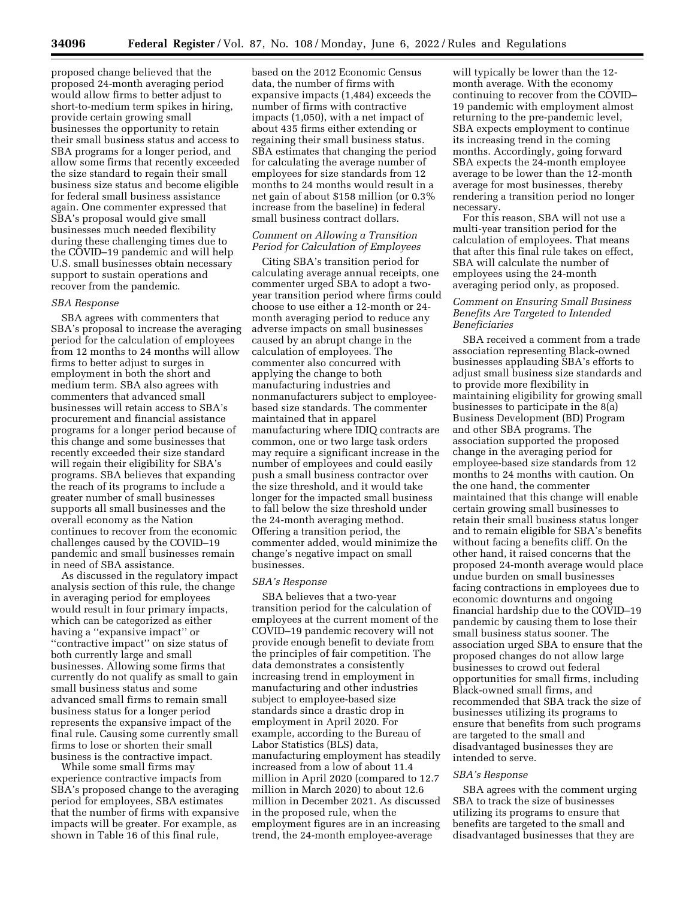proposed change believed that the proposed 24-month averaging period would allow firms to better adjust to short-to-medium term spikes in hiring, provide certain growing small businesses the opportunity to retain their small business status and access to SBA programs for a longer period, and allow some firms that recently exceeded the size standard to regain their small business size status and become eligible for federal small business assistance again. One commenter expressed that SBA's proposal would give small businesses much needed flexibility during these challenging times due to the COVID–19 pandemic and will help U.S. small businesses obtain necessary support to sustain operations and recover from the pandemic.

### *SBA Response*

SBA agrees with commenters that SBA's proposal to increase the averaging period for the calculation of employees from 12 months to 24 months will allow firms to better adjust to surges in employment in both the short and medium term. SBA also agrees with commenters that advanced small businesses will retain access to SBA's procurement and financial assistance programs for a longer period because of this change and some businesses that recently exceeded their size standard will regain their eligibility for SBA's programs. SBA believes that expanding the reach of its programs to include a greater number of small businesses supports all small businesses and the overall economy as the Nation continues to recover from the economic challenges caused by the COVID–19 pandemic and small businesses remain in need of SBA assistance.

As discussed in the regulatory impact analysis section of this rule, the change in averaging period for employees would result in four primary impacts, which can be categorized as either having a ''expansive impact'' or ''contractive impact'' on size status of both currently large and small businesses. Allowing some firms that currently do not qualify as small to gain small business status and some advanced small firms to remain small business status for a longer period represents the expansive impact of the final rule. Causing some currently small firms to lose or shorten their small business is the contractive impact.

While some small firms may experience contractive impacts from SBA's proposed change to the averaging period for employees, SBA estimates that the number of firms with expansive impacts will be greater. For example, as shown in Table 16 of this final rule,

based on the 2012 Economic Census data, the number of firms with expansive impacts (1,484) exceeds the number of firms with contractive impacts (1,050), with a net impact of about 435 firms either extending or regaining their small business status. SBA estimates that changing the period for calculating the average number of employees for size standards from 12 months to 24 months would result in a net gain of about \$158 million (or 0.3% increase from the baseline) in federal small business contract dollars.

# *Comment on Allowing a Transition Period for Calculation of Employees*

Citing SBA's transition period for calculating average annual receipts, one commenter urged SBA to adopt a twoyear transition period where firms could choose to use either a 12-month or 24 month averaging period to reduce any adverse impacts on small businesses caused by an abrupt change in the calculation of employees. The commenter also concurred with applying the change to both manufacturing industries and nonmanufacturers subject to employeebased size standards. The commenter maintained that in apparel manufacturing where IDIQ contracts are common, one or two large task orders may require a significant increase in the number of employees and could easily push a small business contractor over the size threshold, and it would take longer for the impacted small business to fall below the size threshold under the 24-month averaging method. Offering a transition period, the commenter added, would minimize the change's negative impact on small businesses.

### *SBA's Response*

SBA believes that a two-year transition period for the calculation of employees at the current moment of the COVID–19 pandemic recovery will not provide enough benefit to deviate from the principles of fair competition. The data demonstrates a consistently increasing trend in employment in manufacturing and other industries subject to employee-based size standards since a drastic drop in employment in April 2020. For example, according to the Bureau of Labor Statistics (BLS) data, manufacturing employment has steadily increased from a low of about 11.4 million in April 2020 (compared to 12.7 million in March 2020) to about 12.6 million in December 2021. As discussed in the proposed rule, when the employment figures are in an increasing trend, the 24-month employee-average

will typically be lower than the 12 month average. With the economy continuing to recover from the COVID– 19 pandemic with employment almost returning to the pre-pandemic level, SBA expects employment to continue its increasing trend in the coming months. Accordingly, going forward SBA expects the 24-month employee average to be lower than the 12-month average for most businesses, thereby rendering a transition period no longer necessary.

For this reason, SBA will not use a multi-year transition period for the calculation of employees. That means that after this final rule takes on effect, SBA will calculate the number of employees using the 24-month averaging period only, as proposed.

### *Comment on Ensuring Small Business Benefits Are Targeted to Intended Beneficiaries*

SBA received a comment from a trade association representing Black-owned businesses applauding SBA's efforts to adjust small business size standards and to provide more flexibility in maintaining eligibility for growing small businesses to participate in the 8(a) Business Development (BD) Program and other SBA programs. The association supported the proposed change in the averaging period for employee-based size standards from 12 months to 24 months with caution. On the one hand, the commenter maintained that this change will enable certain growing small businesses to retain their small business status longer and to remain eligible for SBA's benefits without facing a benefits cliff. On the other hand, it raised concerns that the proposed 24-month average would place undue burden on small businesses facing contractions in employees due to economic downturns and ongoing financial hardship due to the COVID–19 pandemic by causing them to lose their small business status sooner. The association urged SBA to ensure that the proposed changes do not allow large businesses to crowd out federal opportunities for small firms, including Black-owned small firms, and recommended that SBA track the size of businesses utilizing its programs to ensure that benefits from such programs are targeted to the small and disadvantaged businesses they are intended to serve.

#### *SBA's Response*

SBA agrees with the comment urging SBA to track the size of businesses utilizing its programs to ensure that benefits are targeted to the small and disadvantaged businesses that they are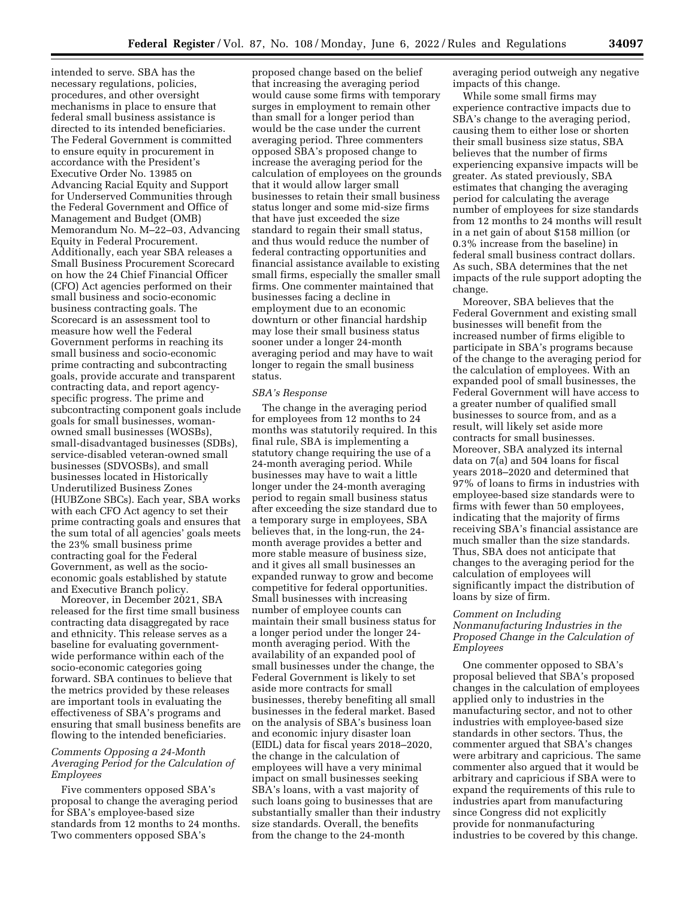intended to serve. SBA has the necessary regulations, policies, procedures, and other oversight mechanisms in place to ensure that federal small business assistance is directed to its intended beneficiaries. The Federal Government is committed to ensure equity in procurement in accordance with the President's Executive Order No. 13985 on Advancing Racial Equity and Support for Underserved Communities through the Federal Government and Office of Management and Budget (OMB) Memorandum No. M–22–03, Advancing Equity in Federal Procurement. Additionally, each year SBA releases a Small Business Procurement Scorecard on how the 24 Chief Financial Officer (CFO) Act agencies performed on their small business and socio-economic business contracting goals. The Scorecard is an assessment tool to measure how well the Federal Government performs in reaching its small business and socio-economic prime contracting and subcontracting goals, provide accurate and transparent contracting data, and report agencyspecific progress. The prime and subcontracting component goals include goals for small businesses, womanowned small businesses (WOSBs), small-disadvantaged businesses (SDBs), service-disabled veteran-owned small businesses (SDVOSBs), and small businesses located in Historically Underutilized Business Zones (HUBZone SBCs). Each year, SBA works with each CFO Act agency to set their prime contracting goals and ensures that the sum total of all agencies' goals meets the 23% small business prime contracting goal for the Federal Government, as well as the socioeconomic goals established by statute and Executive Branch policy.

Moreover, in December 2021, SBA released for the first time small business contracting data disaggregated by race and ethnicity. This release serves as a baseline for evaluating governmentwide performance within each of the socio-economic categories going forward. SBA continues to believe that the metrics provided by these releases are important tools in evaluating the effectiveness of SBA's programs and ensuring that small business benefits are flowing to the intended beneficiaries.

# *Comments Opposing a 24-Month Averaging Period for the Calculation of Employees*

Five commenters opposed SBA's proposal to change the averaging period for SBA's employee-based size standards from 12 months to 24 months. Two commenters opposed SBA's

proposed change based on the belief that increasing the averaging period would cause some firms with temporary surges in employment to remain other than small for a longer period than would be the case under the current averaging period. Three commenters opposed SBA's proposed change to increase the averaging period for the calculation of employees on the grounds that it would allow larger small businesses to retain their small business status longer and some mid-size firms that have just exceeded the size standard to regain their small status, and thus would reduce the number of federal contracting opportunities and financial assistance available to existing small firms, especially the smaller small firms. One commenter maintained that businesses facing a decline in employment due to an economic downturn or other financial hardship may lose their small business status sooner under a longer 24-month averaging period and may have to wait longer to regain the small business status.

#### *SBA's Response*

The change in the averaging period for employees from 12 months to 24 months was statutorily required. In this final rule, SBA is implementing a statutory change requiring the use of a 24-month averaging period. While businesses may have to wait a little longer under the 24-month averaging period to regain small business status after exceeding the size standard due to a temporary surge in employees, SBA believes that, in the long-run, the 24 month average provides a better and more stable measure of business size, and it gives all small businesses an expanded runway to grow and become competitive for federal opportunities. Small businesses with increasing number of employee counts can maintain their small business status for a longer period under the longer 24 month averaging period. With the availability of an expanded pool of small businesses under the change, the Federal Government is likely to set aside more contracts for small businesses, thereby benefiting all small businesses in the federal market. Based on the analysis of SBA's business loan and economic injury disaster loan (EIDL) data for fiscal years 2018–2020, the change in the calculation of employees will have a very minimal impact on small businesses seeking SBA's loans, with a vast majority of such loans going to businesses that are substantially smaller than their industry size standards. Overall, the benefits from the change to the 24-month

averaging period outweigh any negative impacts of this change.

While some small firms may experience contractive impacts due to SBA's change to the averaging period, causing them to either lose or shorten their small business size status, SBA believes that the number of firms experiencing expansive impacts will be greater. As stated previously, SBA estimates that changing the averaging period for calculating the average number of employees for size standards from 12 months to 24 months will result in a net gain of about \$158 million (or 0.3% increase from the baseline) in federal small business contract dollars. As such, SBA determines that the net impacts of the rule support adopting the change.

Moreover, SBA believes that the Federal Government and existing small businesses will benefit from the increased number of firms eligible to participate in SBA's programs because of the change to the averaging period for the calculation of employees. With an expanded pool of small businesses, the Federal Government will have access to a greater number of qualified small businesses to source from, and as a result, will likely set aside more contracts for small businesses. Moreover, SBA analyzed its internal data on 7(a) and 504 loans for fiscal years 2018–2020 and determined that 97% of loans to firms in industries with employee-based size standards were to firms with fewer than 50 employees, indicating that the majority of firms receiving SBA's financial assistance are much smaller than the size standards. Thus, SBA does not anticipate that changes to the averaging period for the calculation of employees will significantly impact the distribution of loans by size of firm.

## *Comment on Including Nonmanufacturing Industries in the Proposed Change in the Calculation of Employees*

One commenter opposed to SBA's proposal believed that SBA's proposed changes in the calculation of employees applied only to industries in the manufacturing sector, and not to other industries with employee-based size standards in other sectors. Thus, the commenter argued that SBA's changes were arbitrary and capricious. The same commenter also argued that it would be arbitrary and capricious if SBA were to expand the requirements of this rule to industries apart from manufacturing since Congress did not explicitly provide for nonmanufacturing industries to be covered by this change.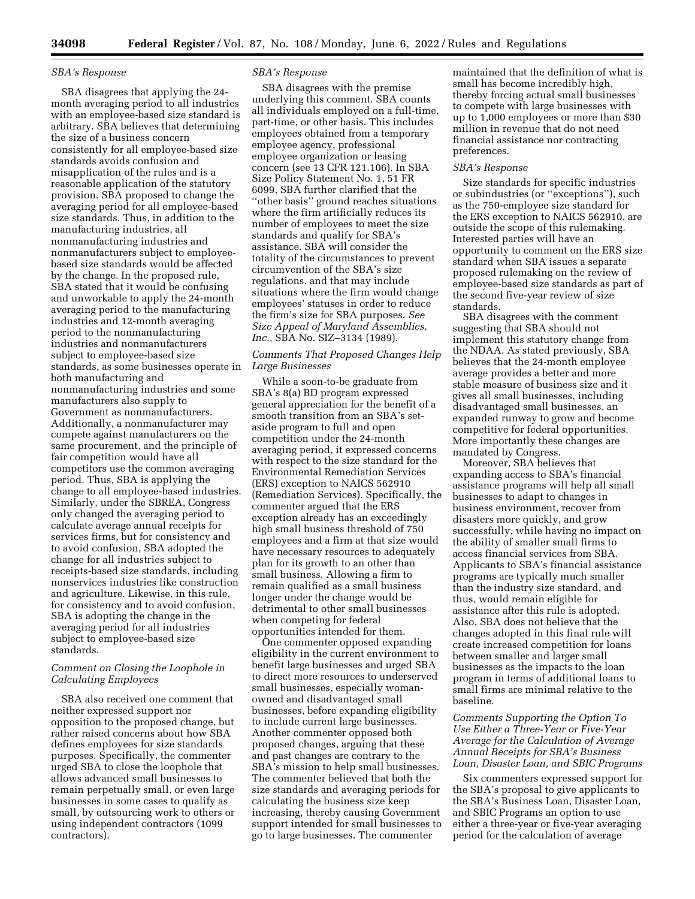### *SBA's Response*

SBA disagrees that applying the 24 month averaging period to all industries with an employee-based size standard is arbitrary. SBA believes that determining the size of a business concern consistently for all employee-based size standards avoids confusion and misapplication of the rules and is a reasonable application of the statutory provision. SBA proposed to change the averaging period for all employee-based size standards. Thus, in addition to the manufacturing industries, all nonmanufacturing industries and nonmanufacturers subject to employeebased size standards would be affected by the change. In the proposed rule, SBA stated that it would be confusing and unworkable to apply the 24-month averaging period to the manufacturing industries and 12-month averaging period to the nonmanufacturing industries and nonmanufacturers subject to employee-based size standards, as some businesses operate in both manufacturing and nonmanufacturing industries and some manufacturers also supply to Government as nonmanufacturers. Additionally, a nonmanufacturer may compete against manufacturers on the same procurement, and the principle of fair competition would have all competitors use the common averaging period. Thus, SBA is applying the change to all employee-based industries. Similarly, under the SBREA, Congress only changed the averaging period to calculate average annual receipts for services firms, but for consistency and to avoid confusion, SBA adopted the change for all industries subject to receipts-based size standards, including nonservices industries like construction and agriculture. Likewise, in this rule, for consistency and to avoid confusion, SBA is adopting the change in the averaging period for all industries subject to employee-based size standards.

## *Comment on Closing the Loophole in Calculating Employees*

SBA also received one comment that neither expressed support nor opposition to the proposed change, but rather raised concerns about how SBA defines employees for size standards purposes. Specifically, the commenter urged SBA to close the loophole that allows advanced small businesses to remain perpetually small, or even large businesses in some cases to qualify as small, by outsourcing work to others or using independent contractors (1099 contractors).

### *SBA's Response*

SBA disagrees with the premise underlying this comment. SBA counts all individuals employed on a full-time, part-time, or other basis. This includes employees obtained from a temporary employee agency, professional employee organization or leasing concern (see 13 CFR 121.106). In SBA Size Policy Statement No. 1, 51 FR 6099, SBA further clarified that the ''other basis'' ground reaches situations where the firm artificially reduces its number of employees to meet the size standards and qualify for SBA's assistance. SBA will consider the totality of the circumstances to prevent circumvention of the SBA's size regulations, and that may include situations where the firm would change employees' statuses in order to reduce the firm's size for SBA purposes. *See Size Appeal of Maryland Assemblies, Inc.,* SBA No. SIZ–3134 (1989).

## *Comments That Proposed Changes Help Large Businesses*

While a soon-to-be graduate from SBA's 8(a) BD program expressed general appreciation for the benefit of a smooth transition from an SBA's setaside program to full and open competition under the 24-month averaging period, it expressed concerns with respect to the size standard for the Environmental Remediation Services (ERS) exception to NAICS 562910 (Remediation Services). Specifically, the commenter argued that the ERS exception already has an exceedingly high small business threshold of 750 employees and a firm at that size would have necessary resources to adequately plan for its growth to an other than small business. Allowing a firm to remain qualified as a small business longer under the change would be detrimental to other small businesses when competing for federal opportunities intended for them.

One commenter opposed expanding eligibility in the current environment to benefit large businesses and urged SBA to direct more resources to underserved small businesses, especially womanowned and disadvantaged small businesses, before expanding eligibility to include current large businesses. Another commenter opposed both proposed changes, arguing that these and past changes are contrary to the SBA's mission to help small businesses. The commenter believed that both the size standards and averaging periods for calculating the business size keep increasing, thereby causing Government support intended for small businesses to go to large businesses. The commenter

maintained that the definition of what is small has become incredibly high, thereby forcing actual small businesses to compete with large businesses with up to 1,000 employees or more than \$30 million in revenue that do not need financial assistance nor contracting preferences.

#### *SBA's Response*

Size standards for specific industries or subindustries (or ''exceptions''), such as the 750-employee size standard for the ERS exception to NAICS 562910, are outside the scope of this rulemaking. Interested parties will have an opportunity to comment on the ERS size standard when SBA issues a separate proposed rulemaking on the review of employee-based size standards as part of the second five-year review of size standards.

SBA disagrees with the comment suggesting that SBA should not implement this statutory change from the NDAA. As stated previously, SBA believes that the 24-month employee average provides a better and more stable measure of business size and it gives all small businesses, including disadvantaged small businesses, an expanded runway to grow and become competitive for federal opportunities. More importantly these changes are mandated by Congress.

Moreover, SBA believes that expanding access to SBA's financial assistance programs will help all small businesses to adapt to changes in business environment, recover from disasters more quickly, and grow successfully, while having no impact on the ability of smaller small firms to access financial services from SBA. Applicants to SBA's financial assistance programs are typically much smaller than the industry size standard, and thus, would remain eligible for assistance after this rule is adopted. Also, SBA does not believe that the changes adopted in this final rule will create increased competition for loans between smaller and larger small businesses as the impacts to the loan program in terms of additional loans to small firms are minimal relative to the baseline.

# *Comments Supporting the Option To Use Either a Three-Year or Five-Year Average for the Calculation of Average Annual Receipts for SBA's Business Loan, Disaster Loan, and SBIC Programs*

Six commenters expressed support for the SBA's proposal to give applicants to the SBA's Business Loan, Disaster Loan, and SBIC Programs an option to use either a three-year or five-year averaging period for the calculation of average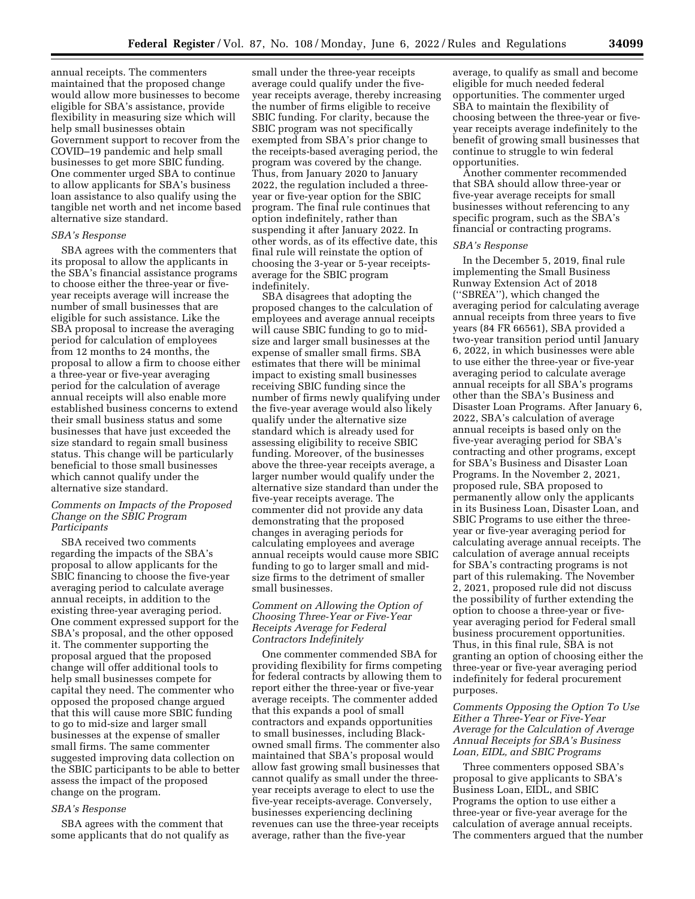annual receipts. The commenters maintained that the proposed change would allow more businesses to become eligible for SBA's assistance, provide flexibility in measuring size which will help small businesses obtain Government support to recover from the COVID–19 pandemic and help small businesses to get more SBIC funding. One commenter urged SBA to continue to allow applicants for SBA's business loan assistance to also qualify using the tangible net worth and net income based alternative size standard.

### *SBA's Response*

SBA agrees with the commenters that its proposal to allow the applicants in the SBA's financial assistance programs to choose either the three-year or fiveyear receipts average will increase the number of small businesses that are eligible for such assistance. Like the SBA proposal to increase the averaging period for calculation of employees from 12 months to 24 months, the proposal to allow a firm to choose either a three-year or five-year averaging period for the calculation of average annual receipts will also enable more established business concerns to extend their small business status and some businesses that have just exceeded the size standard to regain small business status. This change will be particularly beneficial to those small businesses which cannot qualify under the alternative size standard.

# *Comments on Impacts of the Proposed Change on the SBIC Program Participants*

SBA received two comments regarding the impacts of the SBA's proposal to allow applicants for the SBIC financing to choose the five-year averaging period to calculate average annual receipts, in addition to the existing three-year averaging period. One comment expressed support for the SBA's proposal, and the other opposed it. The commenter supporting the proposal argued that the proposed change will offer additional tools to help small businesses compete for capital they need. The commenter who opposed the proposed change argued that this will cause more SBIC funding to go to mid-size and larger small businesses at the expense of smaller small firms. The same commenter suggested improving data collection on the SBIC participants to be able to better assess the impact of the proposed change on the program.

# *SBA's Response*

SBA agrees with the comment that some applicants that do not qualify as

small under the three-year receipts average could qualify under the fiveyear receipts average, thereby increasing the number of firms eligible to receive SBIC funding. For clarity, because the SBIC program was not specifically exempted from SBA's prior change to the receipts-based averaging period, the program was covered by the change. Thus, from January 2020 to January 2022, the regulation included a threeyear or five-year option for the SBIC program. The final rule continues that option indefinitely, rather than suspending it after January 2022. In other words, as of its effective date, this final rule will reinstate the option of choosing the 3-year or 5-year receiptsaverage for the SBIC program indefinitely.

SBA disagrees that adopting the proposed changes to the calculation of employees and average annual receipts will cause SBIC funding to go to midsize and larger small businesses at the expense of smaller small firms. SBA estimates that there will be minimal impact to existing small businesses receiving SBIC funding since the number of firms newly qualifying under the five-year average would also likely qualify under the alternative size standard which is already used for assessing eligibility to receive SBIC funding. Moreover, of the businesses above the three-year receipts average, a larger number would qualify under the alternative size standard than under the five-year receipts average. The commenter did not provide any data demonstrating that the proposed changes in averaging periods for calculating employees and average annual receipts would cause more SBIC funding to go to larger small and midsize firms to the detriment of smaller small businesses.

# *Comment on Allowing the Option of Choosing Three-Year or Five-Year Receipts Average for Federal Contractors Indefinitely*

One commenter commended SBA for providing flexibility for firms competing for federal contracts by allowing them to report either the three-year or five-year average receipts. The commenter added that this expands a pool of small contractors and expands opportunities to small businesses, including Blackowned small firms. The commenter also maintained that SBA's proposal would allow fast growing small businesses that cannot qualify as small under the threeyear receipts average to elect to use the five-year receipts-average. Conversely, businesses experiencing declining revenues can use the three-year receipts average, rather than the five-year

average, to qualify as small and become eligible for much needed federal opportunities. The commenter urged SBA to maintain the flexibility of choosing between the three-year or fiveyear receipts average indefinitely to the benefit of growing small businesses that continue to struggle to win federal opportunities.

Another commenter recommended that SBA should allow three-year or five-year average receipts for small businesses without referencing to any specific program, such as the SBA's financial or contracting programs.

#### *SBA's Response*

In the December 5, 2019, final rule implementing the Small Business Runway Extension Act of 2018 (''SBREA''), which changed the averaging period for calculating average annual receipts from three years to five years (84 FR 66561), SBA provided a two-year transition period until January 6, 2022, in which businesses were able to use either the three-year or five-year averaging period to calculate average annual receipts for all SBA's programs other than the SBA's Business and Disaster Loan Programs. After January 6, 2022, SBA's calculation of average annual receipts is based only on the five-year averaging period for SBA's contracting and other programs, except for SBA's Business and Disaster Loan Programs. In the November 2, 2021, proposed rule, SBA proposed to permanently allow only the applicants in its Business Loan, Disaster Loan, and SBIC Programs to use either the threeyear or five-year averaging period for calculating average annual receipts. The calculation of average annual receipts for SBA's contracting programs is not part of this rulemaking. The November 2, 2021, proposed rule did not discuss the possibility of further extending the option to choose a three-year or fiveyear averaging period for Federal small business procurement opportunities. Thus, in this final rule, SBA is not granting an option of choosing either the three-year or five-year averaging period indefinitely for federal procurement purposes.

*Comments Opposing the Option To Use Either a Three-Year or Five-Year Average for the Calculation of Average Annual Receipts for SBA's Business Loan, EIDL, and SBIC Programs* 

Three commenters opposed SBA's proposal to give applicants to SBA's Business Loan, EIDL, and SBIC Programs the option to use either a three-year or five-year average for the calculation of average annual receipts. The commenters argued that the number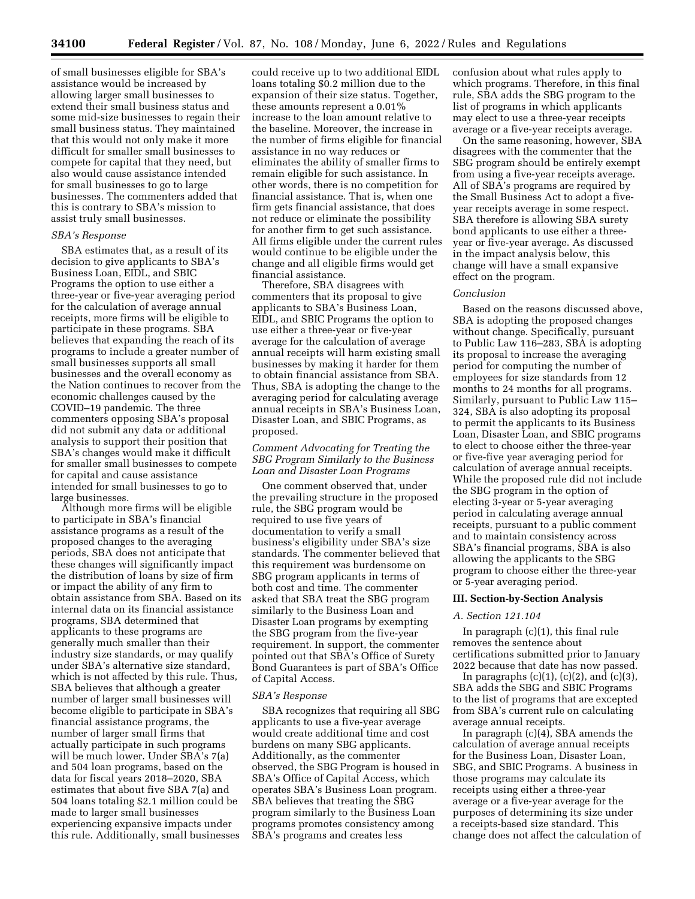of small businesses eligible for SBA's assistance would be increased by allowing larger small businesses to extend their small business status and some mid-size businesses to regain their small business status. They maintained that this would not only make it more difficult for smaller small businesses to compete for capital that they need, but also would cause assistance intended for small businesses to go to large businesses. The commenters added that this is contrary to SBA's mission to assist truly small businesses.

## *SBA's Response*

SBA estimates that, as a result of its decision to give applicants to SBA's Business Loan, EIDL, and SBIC Programs the option to use either a three-year or five-year averaging period for the calculation of average annual receipts, more firms will be eligible to participate in these programs. SBA believes that expanding the reach of its programs to include a greater number of small businesses supports all small businesses and the overall economy as the Nation continues to recover from the economic challenges caused by the COVID–19 pandemic. The three commenters opposing SBA's proposal did not submit any data or additional analysis to support their position that SBA's changes would make it difficult for smaller small businesses to compete for capital and cause assistance intended for small businesses to go to large businesses.

Although more firms will be eligible to participate in SBA's financial assistance programs as a result of the proposed changes to the averaging periods, SBA does not anticipate that these changes will significantly impact the distribution of loans by size of firm or impact the ability of any firm to obtain assistance from SBA. Based on its internal data on its financial assistance programs, SBA determined that applicants to these programs are generally much smaller than their industry size standards, or may qualify under SBA's alternative size standard, which is not affected by this rule. Thus, SBA believes that although a greater number of larger small businesses will become eligible to participate in SBA's financial assistance programs, the number of larger small firms that actually participate in such programs will be much lower. Under SBA's 7(a) and 504 loan programs, based on the data for fiscal years 2018–2020, SBA estimates that about five SBA 7(a) and 504 loans totaling \$2.1 million could be made to larger small businesses experiencing expansive impacts under this rule. Additionally, small businesses

could receive up to two additional EIDL loans totaling \$0.2 million due to the expansion of their size status. Together, these amounts represent a 0.01% increase to the loan amount relative to the baseline. Moreover, the increase in the number of firms eligible for financial assistance in no way reduces or eliminates the ability of smaller firms to remain eligible for such assistance. In other words, there is no competition for financial assistance. That is, when one firm gets financial assistance, that does not reduce or eliminate the possibility for another firm to get such assistance. All firms eligible under the current rules would continue to be eligible under the change and all eligible firms would get financial assistance.

Therefore, SBA disagrees with commenters that its proposal to give applicants to SBA's Business Loan, EIDL, and SBIC Programs the option to use either a three-year or five-year average for the calculation of average annual receipts will harm existing small businesses by making it harder for them to obtain financial assistance from SBA. Thus, SBA is adopting the change to the averaging period for calculating average annual receipts in SBA's Business Loan, Disaster Loan, and SBIC Programs, as proposed.

### *Comment Advocating for Treating the SBG Program Similarly to the Business Loan and Disaster Loan Programs*

One comment observed that, under the prevailing structure in the proposed rule, the SBG program would be required to use five years of documentation to verify a small business's eligibility under SBA's size standards. The commenter believed that this requirement was burdensome on SBG program applicants in terms of both cost and time. The commenter asked that SBA treat the SBG program similarly to the Business Loan and Disaster Loan programs by exempting the SBG program from the five-year requirement. In support, the commenter pointed out that SBA's Office of Surety Bond Guarantees is part of SBA's Office of Capital Access.

#### *SBA's Response*

SBA recognizes that requiring all SBG applicants to use a five-year average would create additional time and cost burdens on many SBG applicants. Additionally, as the commenter observed, the SBG Program is housed in SBA's Office of Capital Access, which operates SBA's Business Loan program. SBA believes that treating the SBG program similarly to the Business Loan programs promotes consistency among SBA's programs and creates less

confusion about what rules apply to which programs. Therefore, in this final rule, SBA adds the SBG program to the list of programs in which applicants may elect to use a three-year receipts average or a five-year receipts average.

On the same reasoning, however, SBA disagrees with the commenter that the SBG program should be entirely exempt from using a five-year receipts average. All of SBA's programs are required by the Small Business Act to adopt a fiveyear receipts average in some respect. SBA therefore is allowing SBA surety bond applicants to use either a threeyear or five-year average. As discussed in the impact analysis below, this change will have a small expansive effect on the program.

### *Conclusion*

Based on the reasons discussed above, SBA is adopting the proposed changes without change. Specifically, pursuant to Public Law 116–283, SBA is adopting its proposal to increase the averaging period for computing the number of employees for size standards from 12 months to 24 months for all programs. Similarly, pursuant to Public Law 115– 324, SBA is also adopting its proposal to permit the applicants to its Business Loan, Disaster Loan, and SBIC programs to elect to choose either the three-year or five-five year averaging period for calculation of average annual receipts. While the proposed rule did not include the SBG program in the option of electing 3-year or 5-year averaging period in calculating average annual receipts, pursuant to a public comment and to maintain consistency across SBA's financial programs, SBA is also allowing the applicants to the SBG program to choose either the three-year or 5-year averaging period.

### **III. Section-by-Section Analysis**

# *A. Section 121.104*

In paragraph (c)(1), this final rule removes the sentence about certifications submitted prior to January 2022 because that date has now passed.

In paragraphs  $(c)(1)$ ,  $(c)(2)$ , and  $(c)(3)$ , SBA adds the SBG and SBIC Programs to the list of programs that are excepted from SBA's current rule on calculating average annual receipts.

In paragraph (c)(4), SBA amends the calculation of average annual receipts for the Business Loan, Disaster Loan, SBG, and SBIC Programs. A business in those programs may calculate its receipts using either a three-year average or a five-year average for the purposes of determining its size under a receipts-based size standard. This change does not affect the calculation of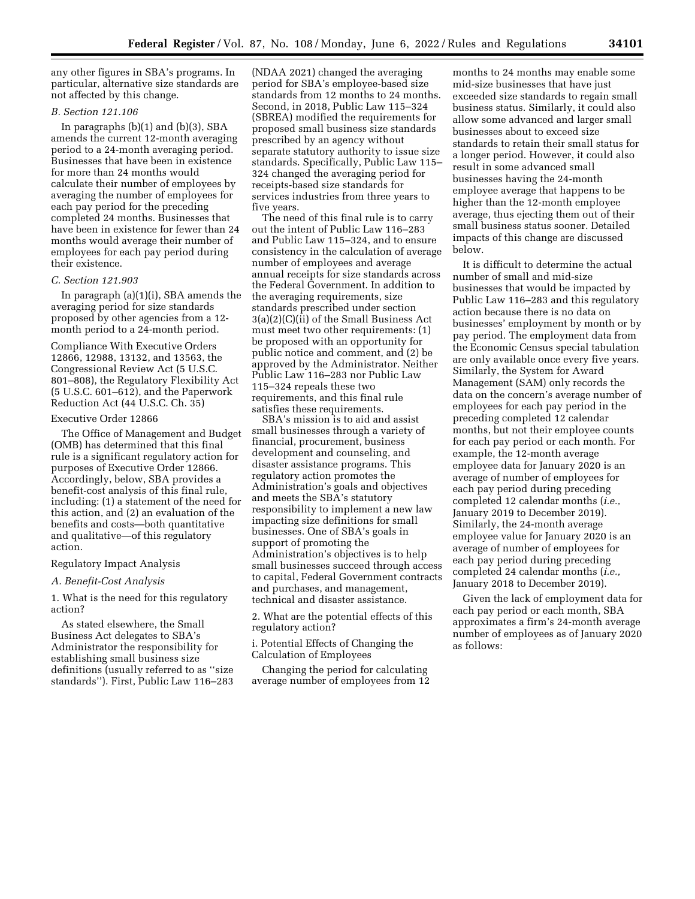any other figures in SBA's programs. In particular, alternative size standards are not affected by this change.

## *B. Section 121.106*

In paragraphs  $(b)(1)$  and  $(b)(3)$ , SBA amends the current 12-month averaging period to a 24-month averaging period. Businesses that have been in existence for more than 24 months would calculate their number of employees by averaging the number of employees for each pay period for the preceding completed 24 months. Businesses that have been in existence for fewer than 24 months would average their number of employees for each pay period during their existence.

### *C. Section 121.903*

In paragraph (a)(1)(i), SBA amends the averaging period for size standards proposed by other agencies from a 12 month period to a 24-month period.

Compliance With Executive Orders 12866, 12988, 13132, and 13563, the Congressional Review Act (5 U.S.C. 801–808), the Regulatory Flexibility Act (5 U.S.C. 601–612), and the Paperwork Reduction Act (44 U.S.C. Ch. 35)

#### Executive Order 12866

The Office of Management and Budget (OMB) has determined that this final rule is a significant regulatory action for purposes of Executive Order 12866. Accordingly, below, SBA provides a benefit-cost analysis of this final rule, including: (1) a statement of the need for this action, and (2) an evaluation of the benefits and costs—both quantitative and qualitative—of this regulatory action.

#### Regulatory Impact Analysis

### *A. Benefit-Cost Analysis*

1. What is the need for this regulatory action?

As stated elsewhere, the Small Business Act delegates to SBA's Administrator the responsibility for establishing small business size definitions (usually referred to as ''size standards''). First, Public Law 116–283

(NDAA 2021) changed the averaging period for SBA's employee-based size standards from 12 months to 24 months. Second, in 2018, Public Law 115–324 (SBREA) modified the requirements for proposed small business size standards prescribed by an agency without separate statutory authority to issue size standards. Specifically, Public Law 115– 324 changed the averaging period for receipts-based size standards for services industries from three years to five years.

The need of this final rule is to carry out the intent of Public Law 116–283 and Public Law 115–324, and to ensure consistency in the calculation of average number of employees and average annual receipts for size standards across the Federal Government. In addition to the averaging requirements, size standards prescribed under section 3(a)(2)(C)(ii) of the Small Business Act must meet two other requirements: (1) be proposed with an opportunity for public notice and comment, and (2) be approved by the Administrator. Neither Public Law 116–283 nor Public Law 115–324 repeals these two requirements, and this final rule satisfies these requirements.

SBA's mission is to aid and assist small businesses through a variety of financial, procurement, business development and counseling, and disaster assistance programs. This regulatory action promotes the Administration's goals and objectives and meets the SBA's statutory responsibility to implement a new law impacting size definitions for small businesses. One of SBA's goals in support of promoting the Administration's objectives is to help small businesses succeed through access to capital, Federal Government contracts and purchases, and management, technical and disaster assistance.

2. What are the potential effects of this regulatory action?

i. Potential Effects of Changing the Calculation of Employees

Changing the period for calculating average number of employees from 12

months to 24 months may enable some mid-size businesses that have just exceeded size standards to regain small business status. Similarly, it could also allow some advanced and larger small businesses about to exceed size standards to retain their small status for a longer period. However, it could also result in some advanced small businesses having the 24-month employee average that happens to be higher than the 12-month employee average, thus ejecting them out of their small business status sooner. Detailed impacts of this change are discussed below.

It is difficult to determine the actual number of small and mid-size businesses that would be impacted by Public Law 116–283 and this regulatory action because there is no data on businesses' employment by month or by pay period. The employment data from the Economic Census special tabulation are only available once every five years. Similarly, the System for Award Management (SAM) only records the data on the concern's average number of employees for each pay period in the preceding completed 12 calendar months, but not their employee counts for each pay period or each month. For example, the 12-month average employee data for January 2020 is an average of number of employees for each pay period during preceding completed 12 calendar months (*i.e.,*  January 2019 to December 2019). Similarly, the 24-month average employee value for January 2020 is an average of number of employees for each pay period during preceding completed 24 calendar months (*i.e.,*  January 2018 to December 2019).

Given the lack of employment data for each pay period or each month, SBA approximates a firm's 24-month average number of employees as of January 2020 as follows: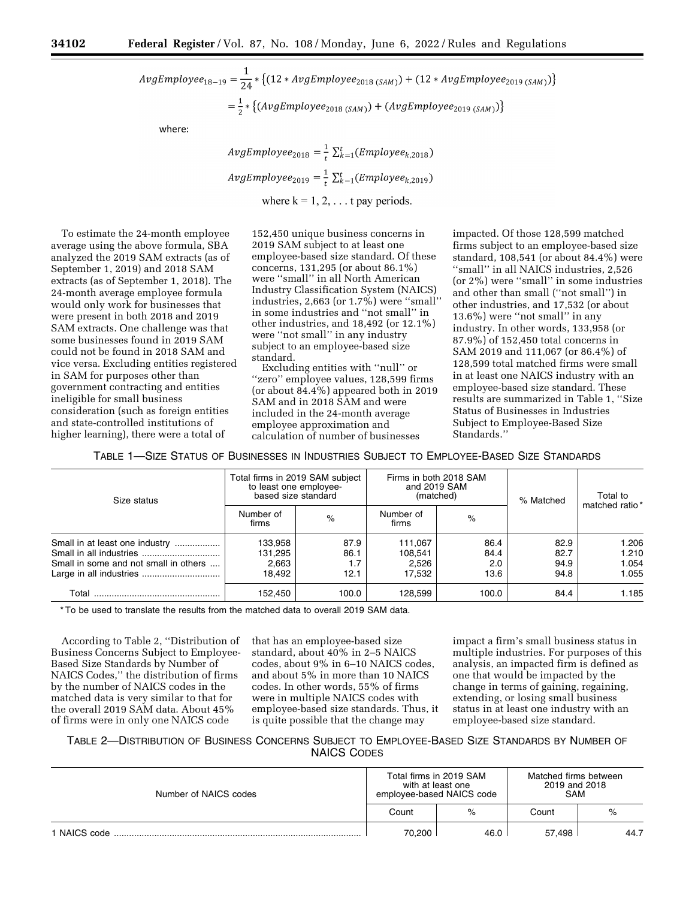$AvgEmplope_{18-19} = \frac{1}{24} * \{(12 * AvgEmployee_{2018~(SAM)}) + (12 * AvgEmployee_{2019~(SAM)})\}$  $=\frac{1}{2} * \{(AvgEmplove_{2018 (SAM))} + (AvgEmplove_{2019 (SAM))}\}$ 

where:

 $AvgEmployee_{2018} = \frac{1}{t} \sum_{k=1}^{t} (Employee_{k,2018})$ 

 $AvgEmployee_{2019} = \frac{1}{k} \sum_{k=1}^{t} (Employee_{k,2019})$ 

where  $k = 1, 2, \ldots$  t pay periods.

To estimate the 24-month employee average using the above formula, SBA analyzed the 2019 SAM extracts (as of September 1, 2019) and 2018 SAM extracts (as of September 1, 2018). The 24-month average employee formula would only work for businesses that were present in both 2018 and 2019 SAM extracts. One challenge was that some businesses found in 2019 SAM could not be found in 2018 SAM and vice versa. Excluding entities registered in SAM for purposes other than government contracting and entities ineligible for small business consideration (such as foreign entities and state-controlled institutions of higher learning), there were a total of

152,450 unique business concerns in 2019 SAM subject to at least one employee-based size standard. Of these concerns, 131,295 (or about 86.1%) were ''small'' in all North American Industry Classification System (NAICS) industries, 2,663 (or 1.7%) were ''small'' in some industries and ''not small'' in other industries, and 18,492 (or 12.1%) were ''not small'' in any industry subject to an employee-based size standard.

Excluding entities with ''null'' or ''zero'' employee values, 128,599 firms (or about 84.4%) appeared both in 2019 SAM and in 2018 SAM and were included in the 24-month average employee approximation and calculation of number of businesses

impacted. Of those 128,599 matched firms subject to an employee-based size standard, 108,541 (or about 84.4%) were ''small'' in all NAICS industries, 2,526 (or 2%) were ''small'' in some industries and other than small (''not small'') in other industries, and 17,532 (or about 13.6%) were ''not small'' in any industry. In other words, 133,958 (or 87.9%) of 152,450 total concerns in SAM 2019 and 111,067 (or 86.4%) of 128,599 total matched firms were small in at least one NAICS industry with an employee-based size standard. These results are summarized in Table 1, ''Size Status of Businesses in Industries Subject to Employee-Based Size Standards.''

TABLE 1—SIZE STATUS OF BUSINESSES IN INDUSTRIES SUBJECT TO EMPLOYEE-BASED SIZE STANDARDS

| Size status                                                             | Total firms in 2019 SAM subject<br>to least one employee-<br>based size standard |                             |                                       | Firms in both 2018 SAM<br>and 2019 SAM<br>(matched) | % Matched                    | Total to                         |
|-------------------------------------------------------------------------|----------------------------------------------------------------------------------|-----------------------------|---------------------------------------|-----------------------------------------------------|------------------------------|----------------------------------|
|                                                                         | Number of<br>firms                                                               | $\%$                        | Number of<br>firms                    | $\%$                                                |                              | matched ratio*                   |
| Small in at least one industry<br>Small in some and not small in others | 133.958<br>131.295<br>2.663<br>18.492                                            | 87.9<br>86.1<br>1.7<br>12.1 | 111.067<br>108.541<br>2.526<br>17.532 | 86.4<br>84.4<br>2.0<br>13.6                         | 82.9<br>82.7<br>94.9<br>94.8 | 1.206<br>1.210<br>1.054<br>1.055 |
| Total                                                                   | 152,450                                                                          | 100.0                       | 128.599                               | 100.0                                               | 84.4                         | 1.185                            |

\* To be used to translate the results from the matched data to overall 2019 SAM data.

According to Table 2, ''Distribution of Business Concerns Subject to Employee-Based Size Standards by Number of NAICS Codes,'' the distribution of firms by the number of NAICS codes in the matched data is very similar to that for the overall 2019 SAM data. About 45% of firms were in only one NAICS code

that has an employee-based size standard, about 40% in 2–5 NAICS codes, about 9% in 6–10 NAICS codes, and about 5% in more than 10 NAICS codes. In other words, 55% of firms were in multiple NAICS codes with employee-based size standards. Thus, it is quite possible that the change may

impact a firm's small business status in multiple industries. For purposes of this analysis, an impacted firm is defined as one that would be impacted by the change in terms of gaining, regaining, extending, or losing small business status in at least one industry with an employee-based size standard.

TABLE 2—DISTRIBUTION OF BUSINESS CONCERNS SUBJECT TO EMPLOYEE-BASED SIZE STANDARDS BY NUMBER OF NAICS CODES

| Number of NAICS codes | Total firms in 2019 SAM<br>with at least one<br>employee-based NAICS code |      | Matched firms between<br>2019 and 2018<br><b>SAM</b> |      |
|-----------------------|---------------------------------------------------------------------------|------|------------------------------------------------------|------|
|                       | Count                                                                     | %    | Count                                                | %    |
| 1 NAICS code          | 70,200                                                                    | 46.0 | 57.498                                               | 44.7 |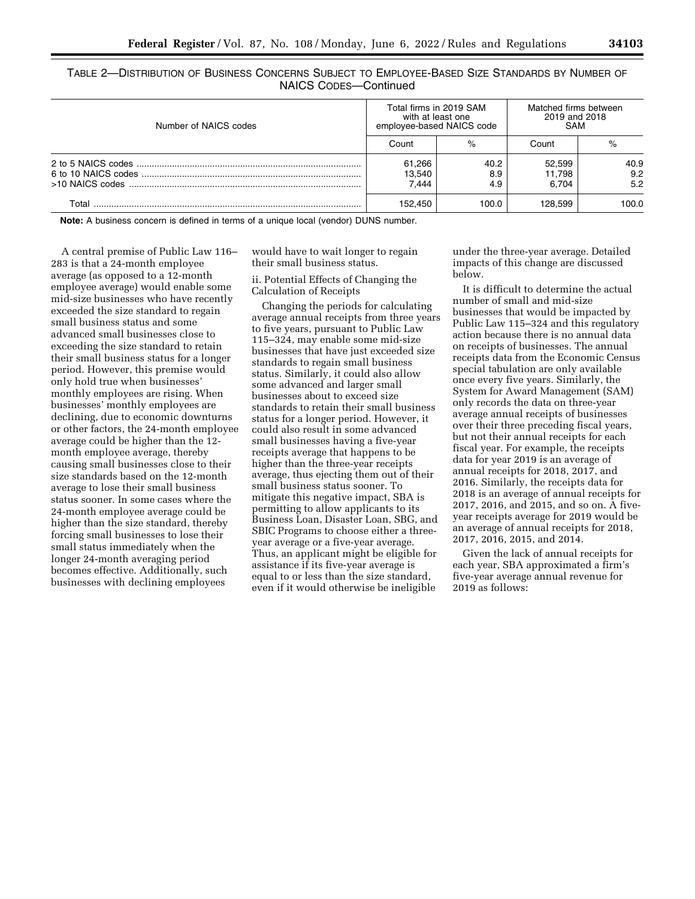TABLE 2—DISTRIBUTION OF BUSINESS CONCERNS SUBJECT TO EMPLOYEE-BASED SIZE STANDARDS BY NUMBER OF NAICS CODES—Continued

| Number of NAICS codes | Total firms in 2019 SAM<br>with at least one<br>employee-based NAICS code |                    | Matched firms between<br>2019 and 2018<br><b>SAM</b> |                    |
|-----------------------|---------------------------------------------------------------------------|--------------------|------------------------------------------------------|--------------------|
|                       | Count                                                                     | %                  | Count                                                | %                  |
|                       | 61,266<br>13,540<br>7.444                                                 | 40.2<br>8.9<br>4.9 | 52.599<br>11.798<br>6.704                            | 40.9<br>9.2<br>5.2 |
| Total                 | 152.450                                                                   | 100.0              | 128.599                                              | 100.0              |

**Note:** A business concern is defined in terms of a unique local (vendor) DUNS number.

A central premise of Public Law 116– 283 is that a 24-month employee average (as opposed to a 12-month employee average) would enable some mid-size businesses who have recently exceeded the size standard to regain small business status and some advanced small businesses close to exceeding the size standard to retain their small business status for a longer period. However, this premise would only hold true when businesses' monthly employees are rising. When businesses' monthly employees are declining, due to economic downturns or other factors, the 24-month employee average could be higher than the 12 month employee average, thereby causing small businesses close to their size standards based on the 12-month average to lose their small business status sooner. In some cases where the 24-month employee average could be higher than the size standard, thereby forcing small businesses to lose their small status immediately when the longer 24-month averaging period becomes effective. Additionally, such businesses with declining employees

would have to wait longer to regain their small business status.

ii. Potential Effects of Changing the Calculation of Receipts

Changing the periods for calculating average annual receipts from three years to five years, pursuant to Public Law 115–324, may enable some mid-size businesses that have just exceeded size standards to regain small business status. Similarly, it could also allow some advanced and larger small businesses about to exceed size standards to retain their small business status for a longer period. However, it could also result in some advanced small businesses having a five-year receipts average that happens to be higher than the three-year receipts average, thus ejecting them out of their small business status sooner. To mitigate this negative impact, SBA is permitting to allow applicants to its Business Loan, Disaster Loan, SBG, and SBIC Programs to choose either a threeyear average or a five-year average. Thus, an applicant might be eligible for assistance if its five-year average is equal to or less than the size standard, even if it would otherwise be ineligible

under the three-year average. Detailed impacts of this change are discussed below.

It is difficult to determine the actual number of small and mid-size businesses that would be impacted by Public Law 115–324 and this regulatory action because there is no annual data on receipts of businesses. The annual receipts data from the Economic Census special tabulation are only available once every five years. Similarly, the System for Award Management (SAM) only records the data on three-year average annual receipts of businesses over their three preceding fiscal years, but not their annual receipts for each fiscal year. For example, the receipts data for year 2019 is an average of annual receipts for 2018, 2017, and 2016. Similarly, the receipts data for 2018 is an average of annual receipts for 2017, 2016, and 2015, and so on. A fiveyear receipts average for 2019 would be an average of annual receipts for 2018, 2017, 2016, 2015, and 2014.

Given the lack of annual receipts for each year, SBA approximated a firm's five-year average annual revenue for 2019 as follows: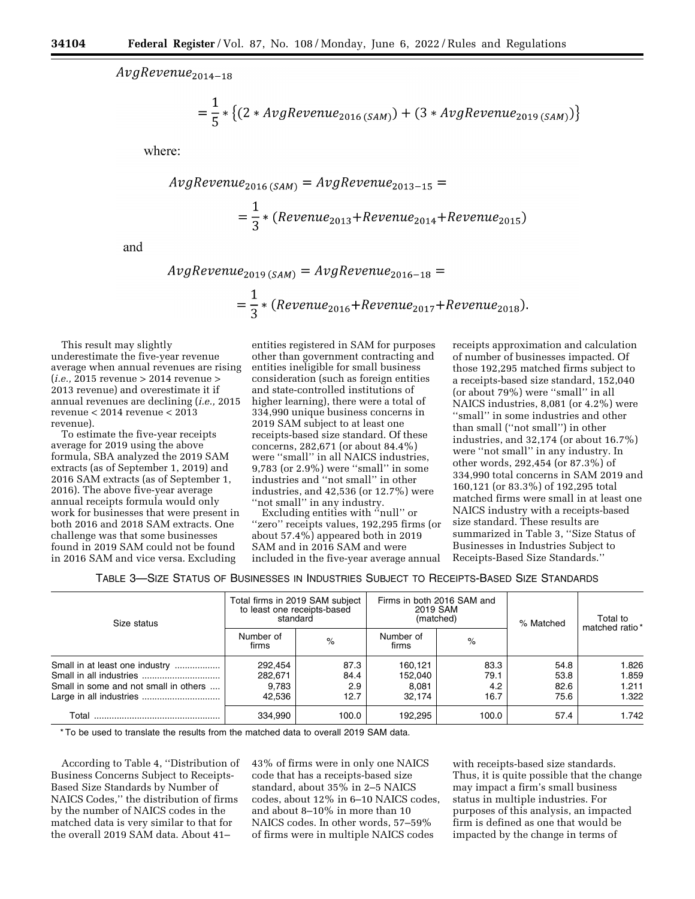*AvgRevenue2014\_ <sup>18</sup>*

$$
= \frac{1}{5} * \{(2 * AvgReview_{2016(SAM)}) + (3 * AvgReview_{2019(SAM)})\}
$$

where:

$$
AvgRevenue_{2016(SAM)} = AvgRevenue_{2013-15} =
$$
  
=  $\frac{1}{3}$  \* (Revenue<sub>2013</sub> + Revenue<sub>2014</sub> + Revenue<sub>2015</sub>)

and

$$
AvgRevenue_{2019(SAM)} = AvgRevenue_{2016-18} =
$$
  
=  $\frac{1}{3}$  \* (Revenue<sub>2016</sub> + Revenue<sub>2017</sub> + Revenue<sub>2018</sub>).

This result may slightly underestimate the five-year revenue average when annual revenues are rising (*i.e.,* 2015 revenue > 2014 revenue > 2013 revenue) and overestimate it if annual revenues are declining (*i.e.,* 2015 revenue < 2014 revenue < 2013 revenue).

To estimate the five-year receipts average for 2019 using the above formula, SBA analyzed the 2019 SAM extracts (as of September 1, 2019) and 2016 SAM extracts (as of September 1, 2016). The above five-year average annual receipts formula would only work for businesses that were present in both 2016 and 2018 SAM extracts. One challenge was that some businesses found in 2019 SAM could not be found in 2016 SAM and vice versa. Excluding

entities registered in SAM for purposes other than government contracting and entities ineligible for small business consideration (such as foreign entities and state-controlled institutions of higher learning), there were a total of 334,990 unique business concerns in 2019 SAM subject to at least one receipts-based size standard. Of these concerns, 282,671 (or about 84.4%) were ''small'' in all NAICS industries, 9,783 (or 2.9%) were ''small'' in some industries and ''not small'' in other industries, and 42,536 (or 12.7%) were "not small" in any industry.

Excluding entities with "null" or ''zero'' receipts values, 192,295 firms (or about 57.4%) appeared both in 2019 SAM and in 2016 SAM and were included in the five-year average annual

receipts approximation and calculation of number of businesses impacted. Of those 192,295 matched firms subject to a receipts-based size standard, 152,040 (or about 79%) were ''small'' in all NAICS industries, 8,081 (or 4.2%) were ''small'' in some industries and other than small (''not small'') in other industries, and 32,174 (or about 16.7%) were ''not small'' in any industry. In other words, 292,454 (or 87.3%) of 334,990 total concerns in SAM 2019 and 160,121 (or 83.3%) of 192,295 total matched firms were small in at least one NAICS industry with a receipts-based size standard. These results are summarized in Table 3, ''Size Status of Businesses in Industries Subject to Receipts-Based Size Standards.''

TABLE 3—SIZE STATUS OF BUSINESSES IN INDUSTRIES SUBJECT TO RECEIPTS-BASED SIZE STANDARDS

| Size status                                                             | Total firms in 2019 SAM subject<br>to least one receipts-based<br>standard |                             |                                       | Firms in both 2016 SAM and<br>2019 SAM<br>(matched) | % Matched                    | Total to                         |
|-------------------------------------------------------------------------|----------------------------------------------------------------------------|-----------------------------|---------------------------------------|-----------------------------------------------------|------------------------------|----------------------------------|
|                                                                         | Number of<br>firms                                                         | $\%$                        | Number of<br>firms                    | $\%$                                                |                              | matched ratio *                  |
| Small in at least one industry<br>Small in some and not small in others | 292,454<br>282,671<br>9.783<br>42.536                                      | 87.3<br>84.4<br>2.9<br>12.7 | 160.121<br>152.040<br>8.081<br>32.174 | 83.3<br>79.1<br>4.2<br>16.7                         | 54.8<br>53.8<br>82.6<br>75.6 | 1.826<br>1.859<br>1.211<br>1.322 |
| Total                                                                   | 334.990                                                                    | 100.0                       | 192.295                               | 100.0                                               | 57.4                         | 1.742                            |

\* To be used to translate the results from the matched data to overall 2019 SAM data.

According to Table 4, ''Distribution of Business Concerns Subject to Receipts-Based Size Standards by Number of NAICS Codes,'' the distribution of firms by the number of NAICS codes in the matched data is very similar to that for the overall 2019 SAM data. About 41–

43% of firms were in only one NAICS code that has a receipts-based size standard, about 35% in 2–5 NAICS codes, about 12% in 6–10 NAICS codes, and about 8–10% in more than 10 NAICS codes. In other words, 57–59% of firms were in multiple NAICS codes

with receipts-based size standards. Thus, it is quite possible that the change may impact a firm's small business status in multiple industries. For purposes of this analysis, an impacted firm is defined as one that would be impacted by the change in terms of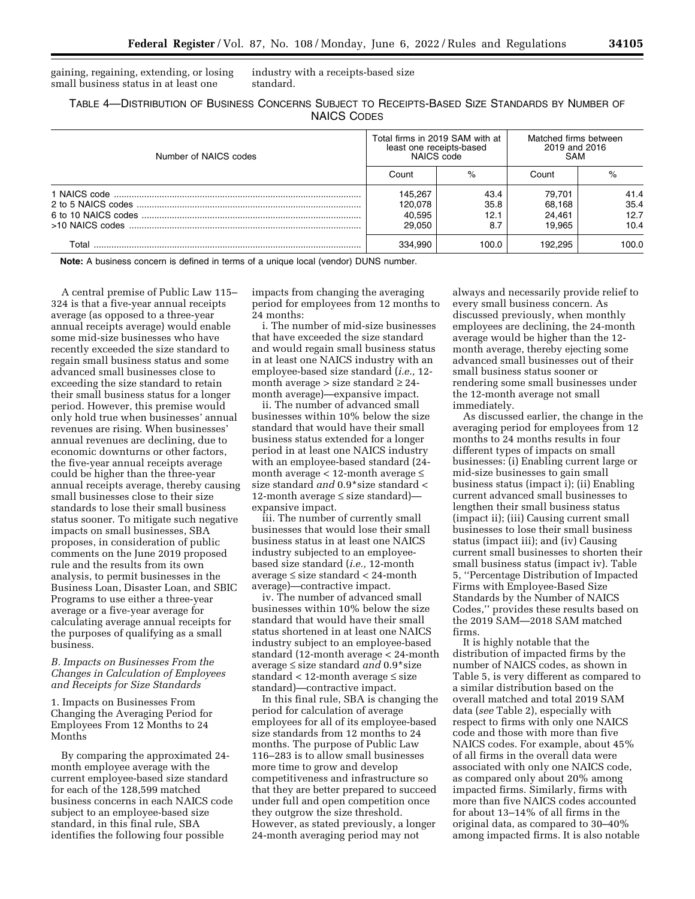gaining, regaining, extending, or losing small business status in at least one

industry with a receipts-based size standard.

TABLE 4—DISTRIBUTION OF BUSINESS CONCERNS SUBJECT TO RECEIPTS-BASED SIZE STANDARDS BY NUMBER OF NAICS CODES

| Number of NAICS codes | Total firms in 2019 SAM with at<br>least one receipts-based<br>NAICS code |                             | Matched firms between<br>2019 and 2016<br><b>SAM</b> |                              |
|-----------------------|---------------------------------------------------------------------------|-----------------------------|------------------------------------------------------|------------------------------|
|                       | Count                                                                     | $\%$                        | Count                                                | %                            |
|                       | 145.267<br>120,078<br>40,595<br>29.050                                    | 43.4<br>35.8<br>12.1<br>8.7 | 79.701<br>68.168<br>24.461<br>19.965                 | 41.4<br>35.4<br>12.7<br>10.4 |
| Total                 | 334.990                                                                   | 100.0                       | 192.295                                              | 100.0                        |

**Note:** A business concern is defined in terms of a unique local (vendor) DUNS number.

A central premise of Public Law 115– 324 is that a five-year annual receipts average (as opposed to a three-year annual receipts average) would enable some mid-size businesses who have recently exceeded the size standard to regain small business status and some advanced small businesses close to exceeding the size standard to retain their small business status for a longer period. However, this premise would only hold true when businesses' annual revenues are rising. When businesses' annual revenues are declining, due to economic downturns or other factors, the five-year annual receipts average could be higher than the three-year annual receipts average, thereby causing small businesses close to their size standards to lose their small business status sooner. To mitigate such negative impacts on small businesses, SBA proposes, in consideration of public comments on the June 2019 proposed rule and the results from its own analysis, to permit businesses in the Business Loan, Disaster Loan, and SBIC Programs to use either a three-year average or a five-year average for calculating average annual receipts for the purposes of qualifying as a small business.

## *B. Impacts on Businesses From the Changes in Calculation of Employees and Receipts for Size Standards*

1. Impacts on Businesses From Changing the Averaging Period for Employees From 12 Months to 24 Months

By comparing the approximated 24 month employee average with the current employee-based size standard for each of the 128,599 matched business concerns in each NAICS code subject to an employee-based size standard, in this final rule, SBA identifies the following four possible

impacts from changing the averaging period for employees from 12 months to 24 months:

i. The number of mid-size businesses that have exceeded the size standard and would regain small business status in at least one NAICS industry with an employee-based size standard (*i.e.,* 12 month average  $>$  size standard  $\geq$  24month average)—expansive impact.

ii. The number of advanced small businesses within 10% below the size standard that would have their small business status extended for a longer period in at least one NAICS industry with an employee-based standard (24 month average  $<$  12-month average  $\leq$ size standard *and* 0.9\*size standard < 12-month average ≤ size standard) expansive impact.

iii. The number of currently small businesses that would lose their small business status in at least one NAICS industry subjected to an employeebased size standard (*i.e.,* 12-month average ≤ size standard < 24-month average)—contractive impact.

iv. The number of advanced small businesses within 10% below the size standard that would have their small status shortened in at least one NAICS industry subject to an employee-based standard (12-month average < 24-month average ≤ size standard *and* 0.9\*size standard < 12-month average ≤ size standard)—contractive impact.

In this final rule, SBA is changing the period for calculation of average employees for all of its employee-based size standards from 12 months to 24 months. The purpose of Public Law 116–283 is to allow small businesses more time to grow and develop competitiveness and infrastructure so that they are better prepared to succeed under full and open competition once they outgrow the size threshold. However, as stated previously, a longer 24-month averaging period may not

always and necessarily provide relief to every small business concern. As discussed previously, when monthly employees are declining, the 24-month average would be higher than the 12 month average, thereby ejecting some advanced small businesses out of their small business status sooner or rendering some small businesses under the 12-month average not small immediately.

As discussed earlier, the change in the averaging period for employees from 12 months to 24 months results in four different types of impacts on small businesses: (i) Enabling current large or mid-size businesses to gain small business status (impact i); (ii) Enabling current advanced small businesses to lengthen their small business status (impact ii); (iii) Causing current small businesses to lose their small business status (impact iii); and (iv) Causing current small businesses to shorten their small business status (impact iv). Table 5, ''Percentage Distribution of Impacted Firms with Employee-Based Size Standards by the Number of NAICS Codes,'' provides these results based on the 2019 SAM—2018 SAM matched firms.

It is highly notable that the distribution of impacted firms by the number of NAICS codes, as shown in Table 5, is very different as compared to a similar distribution based on the overall matched and total 2019 SAM data (*see* Table 2), especially with respect to firms with only one NAICS code and those with more than five NAICS codes. For example, about 45% of all firms in the overall data were associated with only one NAICS code, as compared only about 20% among impacted firms. Similarly, firms with more than five NAICS codes accounted for about 13–14% of all firms in the original data, as compared to 30–40% among impacted firms. It is also notable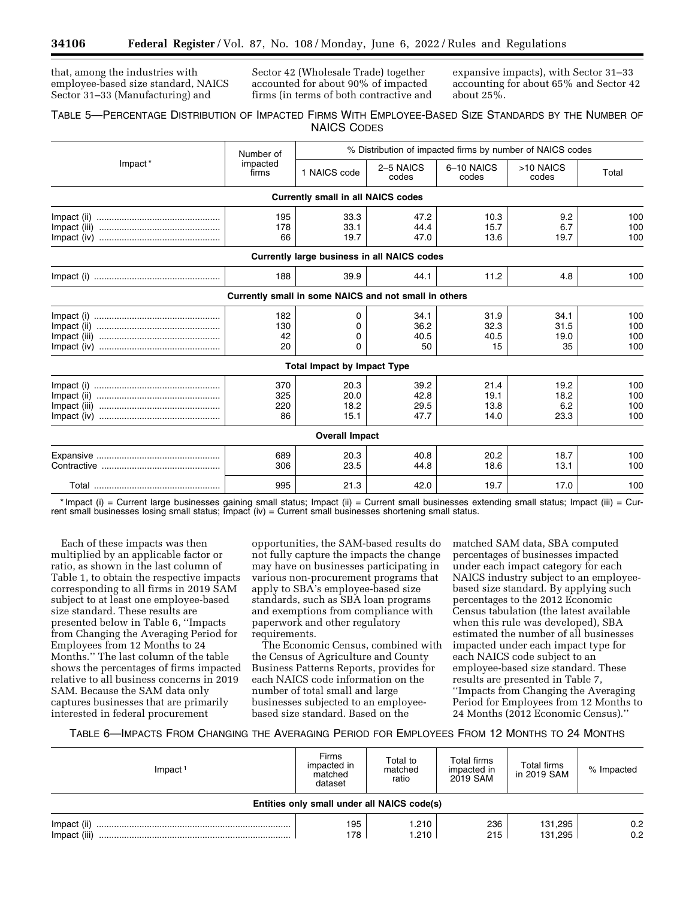that, among the industries with employee-based size standard, NAICS Sector 31–33 (Manufacturing) and

Sector 42 (Wholesale Trade) together accounted for about 90% of impacted firms (in terms of both contractive and expansive impacts), with Sector 31–33 accounting for about 65% and Sector 42 about 25%.

# TABLE 5—PERCENTAGE DISTRIBUTION OF IMPACTED FIRMS WITH EMPLOYEE-BASED SIZE STANDARDS BY THE NUMBER OF NAICS CODES

| % Distribution of impacted firms by number of NAICS codes |                                |                                                       |                              |                              |                             |                          |
|-----------------------------------------------------------|--------------------------------|-------------------------------------------------------|------------------------------|------------------------------|-----------------------------|--------------------------|
| Impact*                                                   | Number of<br>impacted<br>firms | 1 NAICS code                                          | 2-5 NAICS<br>codes           | 6-10 NAICS<br>codes          | >10 NAICS<br>codes          | Total                    |
|                                                           |                                | <b>Currently small in all NAICS codes</b>             |                              |                              |                             |                          |
|                                                           | 195<br>178                     | 33.3<br>33.1                                          | 47.2<br>44.4                 | 10.3<br>15.7                 | 9.2<br>6.7                  | 100<br>100               |
|                                                           | 66                             | 19.7                                                  | 47.0                         | 13.6                         | 19.7                        | 100                      |
|                                                           |                                | Currently large business in all NAICS codes           |                              |                              |                             |                          |
|                                                           | 188                            | 39.9                                                  | 44.1                         | 11.2                         | 4.8                         | 100                      |
|                                                           |                                | Currently small in some NAICS and not small in others |                              |                              |                             |                          |
|                                                           | 182<br>130                     | 0<br>0                                                | 34.1<br>36.2                 | 31.9<br>32.3                 | 34.1<br>31.5                | 100<br>100               |
|                                                           | 42<br>20                       | 0<br>$\Omega$                                         | 40.5<br>50                   | 40.5<br>15                   | 19.0<br>35                  | 100<br>100               |
|                                                           |                                | <b>Total Impact by Impact Type</b>                    |                              |                              |                             |                          |
|                                                           | 370<br>325<br>220<br>86        | 20.3<br>20.0<br>18.2<br>15.1                          | 39.2<br>42.8<br>29.5<br>47.7 | 21.4<br>19.1<br>13.8<br>14.0 | 19.2<br>18.2<br>6.2<br>23.3 | 100<br>100<br>100<br>100 |
|                                                           |                                | <b>Overall Impact</b>                                 |                              |                              |                             |                          |
|                                                           | 689<br>306                     | 20.3<br>23.5                                          | 40.8<br>44.8                 | 20.2<br>18.6                 | 18.7<br>13.1                | 100<br>100               |
|                                                           | 995                            | 21.3                                                  | 42.0                         | 19.7                         | 17.0                        | 100                      |

\* Impact (i) = Current large businesses gaining small status; Impact (ii) = Current small businesses extending small status; Impact (iii) = Current small businesses losing small status; Impact  $(iv)$  = Current small businesses shortening small status.

Each of these impacts was then multiplied by an applicable factor or ratio, as shown in the last column of Table 1, to obtain the respective impacts corresponding to all firms in 2019 SAM subject to at least one employee-based size standard. These results are presented below in Table 6, ''Impacts from Changing the Averaging Period for Employees from 12 Months to 24 Months.'' The last column of the table shows the percentages of firms impacted relative to all business concerns in 2019 SAM. Because the SAM data only captures businesses that are primarily interested in federal procurement

opportunities, the SAM-based results do not fully capture the impacts the change may have on businesses participating in various non-procurement programs that apply to SBA's employee-based size standards, such as SBA loan programs and exemptions from compliance with paperwork and other regulatory requirements.

The Economic Census, combined with the Census of Agriculture and County Business Patterns Reports, provides for each NAICS code information on the number of total small and large businesses subjected to an employeebased size standard. Based on the

matched SAM data, SBA computed percentages of businesses impacted under each impact category for each NAICS industry subject to an employeebased size standard. By applying such percentages to the 2012 Economic Census tabulation (the latest available when this rule was developed), SBA estimated the number of all businesses impacted under each impact type for each NAICS code subject to an employee-based size standard. These results are presented in Table 7, ''Impacts from Changing the Averaging Period for Employees from 12 Months to 24 Months (2012 Economic Census).''

# TABLE 6—IMPACTS FROM CHANGING THE AVERAGING PERIOD FOR EMPLOYEES FROM 12 MONTHS TO 24 MONTHS

| $Im$ pact <sup>1</sup>                      | <b>Firms</b><br>impacted in<br>matched<br>dataset | Total to<br>matched<br>ratio | <b>Total firms</b><br>impacted in<br>2019 SAM | Total firms<br>in 2019 SAM | % Impacted |  |  |  |
|---------------------------------------------|---------------------------------------------------|------------------------------|-----------------------------------------------|----------------------------|------------|--|--|--|
| Entities only small under all NAICS code(s) |                                                   |                              |                                               |                            |            |  |  |  |
|                                             | 195<br>178                                        | 1.210<br>1.210               | 236<br>215                                    | 131,295<br>131.295         | 0.2<br>0.2 |  |  |  |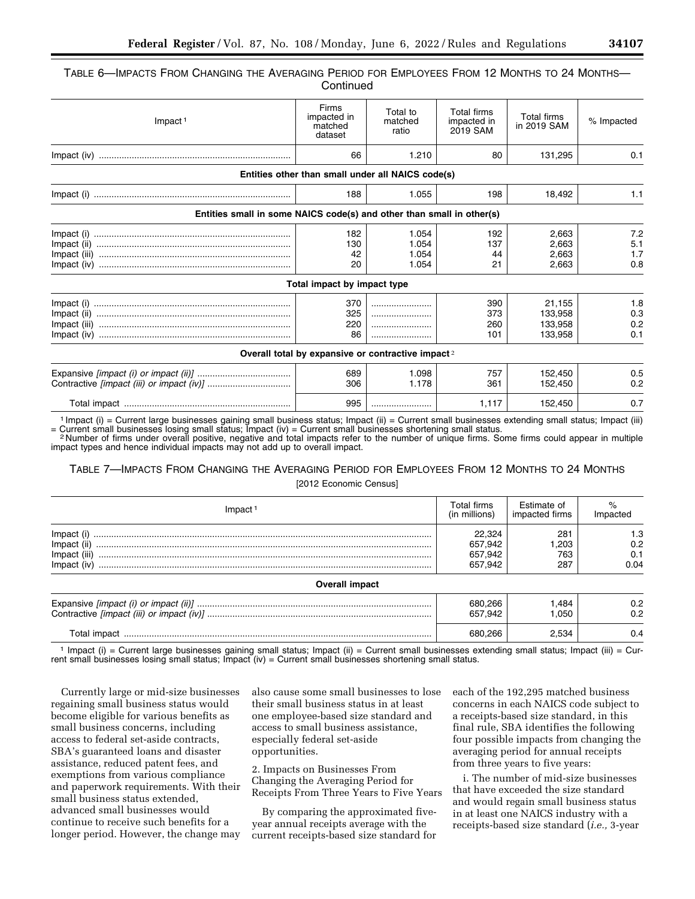# TABLE 6—IMPACTS FROM CHANGING THE AVERAGING PERIOD FOR EMPLOYEES FROM 12 MONTHS TO 24 MONTHS— **Continued**

| $Im$ pact <sup>1</sup>                                                | Firms<br>impacted in<br>matched<br>dataset | Total to<br>matched<br>ratio                                  | Total firms<br>impacted in<br>2019 SAM | <b>Total firms</b><br>in 2019 SAM | % Impacted |
|-----------------------------------------------------------------------|--------------------------------------------|---------------------------------------------------------------|----------------------------------------|-----------------------------------|------------|
|                                                                       | 66                                         | 1.210                                                         | 80                                     | 131,295                           | 0.1        |
|                                                                       |                                            | Entities other than small under all NAICS code(s)             |                                        |                                   |            |
|                                                                       | 188                                        | 1.055                                                         | 198                                    | 18,492                            | 1.1        |
| Entities small in some NAICS code(s) and other than small in other(s) |                                            |                                                               |                                        |                                   |            |
|                                                                       | 182                                        | 1.054                                                         | 192                                    | 2.663                             | 7.2        |
|                                                                       | 130                                        | 1.054                                                         | 137                                    | 2.663                             | 5.1        |
|                                                                       | 42                                         | 1.054                                                         | 44                                     | 2,663                             | 1.7        |
|                                                                       | 20                                         | 1.054                                                         | 21                                     | 2,663                             | 0.8        |
|                                                                       | Total impact by impact type                |                                                               |                                        |                                   |            |
|                                                                       | 370                                        |                                                               | 390                                    | 21.155                            | 1.8        |
|                                                                       | 325                                        |                                                               | 373                                    | 133,958                           | 0.3        |
|                                                                       | 220                                        |                                                               | 260                                    | 133,958                           | 0.2        |
|                                                                       | 86                                         |                                                               | 101                                    | 133,958                           | 0.1        |
|                                                                       |                                            | Overall total by expansive or contractive impact <sup>2</sup> |                                        |                                   |            |
|                                                                       | 689                                        | 1.098                                                         | 757                                    | 152,450                           | 0.5        |
|                                                                       | 306                                        | 1.178                                                         | 361                                    | 152,450                           | 0.2        |
|                                                                       | 995                                        |                                                               | 1,117                                  | 152,450                           | 0.7        |

<sup>1</sup> Impact (i) = Current large businesses gaining small business status; Impact (ii) = Current small businesses extending small status; Impact (iii) Current small businesses shortening small status.

= Current small businesses losing small status; Impact (iv) = Current small businesses shortening small status.<br><sup>2</sup>Number of firms under overall positive, negative and total impacts refer to the number of unique firms. Som impact types and hence individual impacts may not add up to overall impact.

# TABLE 7—IMPACTS FROM CHANGING THE AVERAGING PERIOD FOR EMPLOYEES FROM 12 MONTHS TO 24 MONTHS [2012 Economic Census]

| Impact                                     | Total firms<br>(in millions)            | Estimate of<br>impacted firms | Impacted                  |
|--------------------------------------------|-----------------------------------------|-------------------------------|---------------------------|
| Impact (ii)<br>Impact (iii)<br>Impact (iv) | 22.324<br>657.942<br>657,942<br>657.942 | 281<br>1.203<br>763<br>287    | 1.3<br>0.2<br>0.1<br>0.04 |
| <b>Overall impact</b>                      |                                         |                               |                           |
|                                            | 680.266<br>657.942                      | 1.484<br>1.050                | 0.2<br>0.2                |
|                                            |                                         | 2.534                         | 0.4                       |

1 Impact (i) = Current large businesses gaining small status; Impact (ii) = Current small businesses extending small status; Impact (iii) = Current small businesses losing small status; Impact  $(iv)$  = Current small businesses shortening small status.

Currently large or mid-size businesses regaining small business status would become eligible for various benefits as small business concerns, including access to federal set-aside contracts, SBA's guaranteed loans and disaster assistance, reduced patent fees, and exemptions from various compliance and paperwork requirements. With their small business status extended, advanced small businesses would continue to receive such benefits for a longer period. However, the change may also cause some small businesses to lose their small business status in at least one employee-based size standard and access to small business assistance, especially federal set-aside opportunities.

2. Impacts on Businesses From Changing the Averaging Period for Receipts From Three Years to Five Years

By comparing the approximated fiveyear annual receipts average with the current receipts-based size standard for each of the 192,295 matched business concerns in each NAICS code subject to a receipts-based size standard, in this final rule, SBA identifies the following four possible impacts from changing the averaging period for annual receipts from three years to five years:

i. The number of mid-size businesses that have exceeded the size standard and would regain small business status in at least one NAICS industry with a receipts-based size standard (*i.e.,* 3-year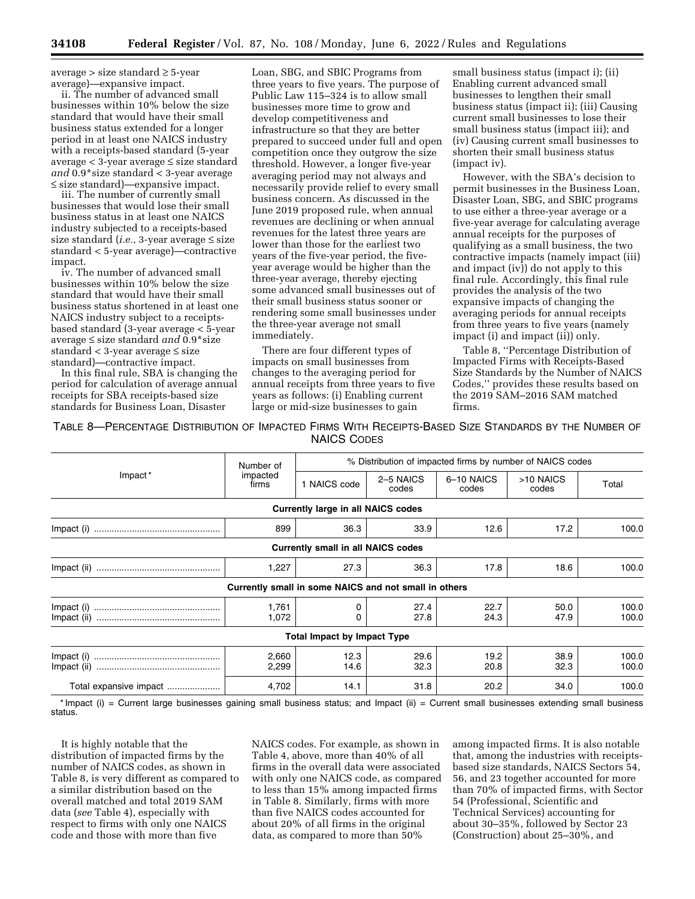average > size standard ≥ 5-year average)—expansive impact.

ii. The number of advanced small businesses within 10% below the size standard that would have their small business status extended for a longer period in at least one NAICS industry with a receipts-based standard (5-year average < 3-year average ≤ size standard *and* 0.9\*size standard < 3-year average ≤ size standard)—expansive impact.

iii. The number of currently small businesses that would lose their small business status in at least one NAICS industry subjected to a receipts-based size standard (*i.e.,* 3-year average ≤ size standard < 5-year average)—contractive impact.

iv. The number of advanced small businesses within 10% below the size standard that would have their small business status shortened in at least one NAICS industry subject to a receiptsbased standard (3-year average < 5-year average ≤ size standard *and* 0.9\*size standard < 3-year average ≤ size standard)—contractive impact.

In this final rule, SBA is changing the period for calculation of average annual receipts for SBA receipts-based size standards for Business Loan, Disaster

Loan, SBG, and SBIC Programs from three years to five years. The purpose of Public Law 115–324 is to allow small businesses more time to grow and develop competitiveness and infrastructure so that they are better prepared to succeed under full and open competition once they outgrow the size threshold. However, a longer five-year averaging period may not always and necessarily provide relief to every small business concern. As discussed in the June 2019 proposed rule, when annual revenues are declining or when annual revenues for the latest three years are lower than those for the earliest two years of the five-year period, the fiveyear average would be higher than the three-year average, thereby ejecting some advanced small businesses out of their small business status sooner or rendering some small businesses under the three-year average not small immediately.

There are four different types of impacts on small businesses from changes to the averaging period for annual receipts from three years to five years as follows: (i) Enabling current large or mid-size businesses to gain

small business status (impact i); (ii) Enabling current advanced small businesses to lengthen their small business status (impact ii); (iii) Causing current small businesses to lose their small business status (impact iii); and (iv) Causing current small businesses to shorten their small business status (impact iv).

However, with the SBA's decision to permit businesses in the Business Loan, Disaster Loan, SBG, and SBIC programs to use either a three-year average or a five-year average for calculating average annual receipts for the purposes of qualifying as a small business, the two contractive impacts (namely impact (iii) and impact (iv)) do not apply to this final rule. Accordingly, this final rule provides the analysis of the two expansive impacts of changing the averaging periods for annual receipts from three years to five years (namely impact (i) and impact (ii)) only.

Table 8, ''Percentage Distribution of Impacted Firms with Receipts-Based Size Standards by the Number of NAICS Codes,'' provides these results based on the 2019 SAM–2016 SAM matched firms.

TABLE 8—PERCENTAGE DISTRIBUTION OF IMPACTED FIRMS WITH RECEIPTS-BASED SIZE STANDARDS BY THE NUMBER OF NAICS CODES

|                        | Number of         | % Distribution of impacted firms by number of NAICS codes |                    |                     |                    |                |  |
|------------------------|-------------------|-----------------------------------------------------------|--------------------|---------------------|--------------------|----------------|--|
| Impact <sup>*</sup>    | impacted<br>firms | 1 NAICS code                                              | 2-5 NAICS<br>codes | 6-10 NAICS<br>codes | >10 NAICS<br>codes | Total          |  |
|                        |                   | <b>Currently large in all NAICS codes</b>                 |                    |                     |                    |                |  |
| Impact (i)             | 899               | 36.3                                                      | 33.9               | 12.6                | 17.2               | 100.0          |  |
|                        |                   | <b>Currently small in all NAICS codes</b>                 |                    |                     |                    |                |  |
|                        | 1,227             | 27.3                                                      | 36.3               | 17.8                | 18.6               | 100.0          |  |
|                        |                   | Currently small in some NAICS and not small in others     |                    |                     |                    |                |  |
|                        | 1,761<br>1,072    | 0<br>0                                                    | 27.4<br>27.8       | 22.7<br>24.3        | 50.0<br>47.9       | 100.0<br>100.0 |  |
|                        |                   | <b>Total Impact by Impact Type</b>                        |                    |                     |                    |                |  |
|                        | 2,660<br>2,299    | 12.3<br>14.6                                              | 29.6<br>32.3       | 19.2<br>20.8        | 38.9<br>32.3       | 100.0<br>100.0 |  |
| Total expansive impact | 4,702             | 14.1                                                      | 31.8               | 20.2                | 34.0               | 100.0          |  |

\* Impact (i) = Current large businesses gaining small business status; and Impact (ii) = Current small businesses extending small business status.

It is highly notable that the distribution of impacted firms by the number of NAICS codes, as shown in Table 8, is very different as compared to a similar distribution based on the overall matched and total 2019 SAM data (*see* Table 4), especially with respect to firms with only one NAICS code and those with more than five

NAICS codes. For example, as shown in Table 4, above, more than 40% of all firms in the overall data were associated with only one NAICS code, as compared to less than 15% among impacted firms in Table 8. Similarly, firms with more than five NAICS codes accounted for about 20% of all firms in the original data, as compared to more than 50%

among impacted firms. It is also notable that, among the industries with receiptsbased size standards, NAICS Sectors 54, 56, and 23 together accounted for more than 70% of impacted firms, with Sector 54 (Professional, Scientific and Technical Services) accounting for about 30–35%, followed by Sector 23 (Construction) about 25–30%, and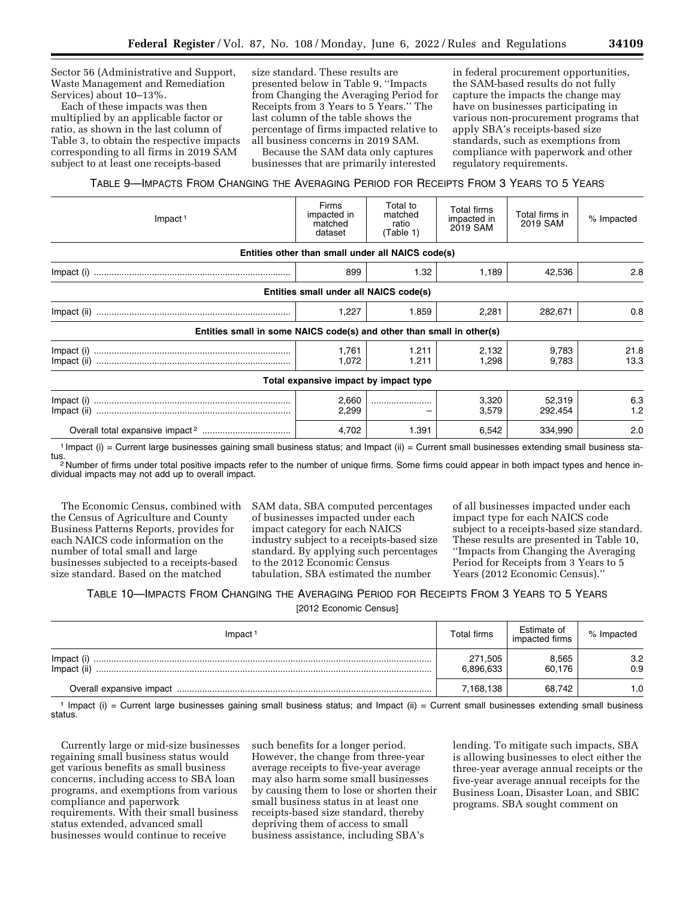Sector 56 (Administrative and Support, Waste Management and Remediation Services) about 10–13%.

Each of these impacts was then multiplied by an applicable factor or ratio, as shown in the last column of Table 3, to obtain the respective impacts corresponding to all firms in 2019 SAM subject to at least one receipts-based

size standard. These results are presented below in Table 9, ''Impacts from Changing the Averaging Period for Receipts from 3 Years to 5 Years.'' The last column of the table shows the percentage of firms impacted relative to all business concerns in 2019 SAM.

in federal procurement opportunities, the SAM-based results do not fully capture the impacts the change may have on businesses participating in various non-procurement programs that apply SBA's receipts-based size standards, such as exemptions from compliance with paperwork and other regulatory requirements.

businesses that are primarily interested TABLE 9—IMPACTS FROM CHANGING THE AVERAGING PERIOD FOR RECEIPTS FROM 3 YEARS TO 5 YEARS

Because the SAM data only captures

| Firms<br>impacted in<br>matched<br>dataset | Total to<br>matched<br>ratio<br>(Table 1) | Total firms<br>impacted in<br>2019 SAM                                          | Total firms in<br>2019 SAM                                                                                                 | % Impacted   |
|--------------------------------------------|-------------------------------------------|---------------------------------------------------------------------------------|----------------------------------------------------------------------------------------------------------------------------|--------------|
|                                            |                                           |                                                                                 |                                                                                                                            |              |
| 899                                        | 1.32                                      | 1,189                                                                           | 42,536                                                                                                                     | 2.8          |
|                                            |                                           |                                                                                 |                                                                                                                            |              |
| 1,227                                      | 1.859                                     | 2,281                                                                           | 282,671                                                                                                                    | 0.8          |
|                                            |                                           |                                                                                 |                                                                                                                            |              |
| 1,761<br>1,072                             | 1.211<br>1.211                            | 2,132<br>1,298                                                                  | 9,783<br>9,783                                                                                                             | 21.8<br>13.3 |
|                                            |                                           |                                                                                 |                                                                                                                            |              |
| 2,660<br>2,299                             |                                           | 3,320<br>3,579                                                                  | 52,319<br>292,454                                                                                                          | 6.3<br>1.2   |
| 4,702                                      | 1.391                                     | 6,542                                                                           | 334,990                                                                                                                    | 2.0          |
|                                            |                                           | Entities small under all NAICS code(s)<br>Total expansive impact by impact type | Entities other than small under all NAICS code(s)<br>Entities small in some NAICS code(s) and other than small in other(s) |              |

1 Impact (i) = Current large businesses gaining small business status; and Impact (ii) = Current small businesses extending small business sta-

tus.<br><sup>2</sup> Number of firms under total positive impacts refer to the number of unique firms. Some firms could appear in both impact types and hence individual impacts may not add up to overall impact.

The Economic Census, combined with the Census of Agriculture and County Business Patterns Reports, provides for each NAICS code information on the number of total small and large businesses subjected to a receipts-based size standard. Based on the matched

SAM data, SBA computed percentages of businesses impacted under each impact category for each NAICS industry subject to a receipts-based size standard. By applying such percentages to the 2012 Economic Census tabulation, SBA estimated the number

of all businesses impacted under each impact type for each NAICS code subject to a receipts-based size standard. These results are presented in Table 10, ''Impacts from Changing the Averaging Period for Receipts from 3 Years to 5 Years (2012 Economic Census).''

# TABLE 10—IMPACTS FROM CHANGING THE AVERAGING PERIOD FOR RECEIPTS FROM 3 YEARS TO 5 YEARS [2012 Economic Census]

| Impact <sup>1</sup>   | Total firms          | Estimate of<br>impacted firms | % Impacted |
|-----------------------|----------------------|-------------------------------|------------|
| Impact<br>Impact (ii) | 271,505<br>6,896,633 | 8,565<br>60.176               | 3.2<br>0.9 |
|                       | 7,168,138            | 68.742                        | 1.0        |

 $1$  Impact (i) = Current large businesses gaining small business status; and Impact (ii) = Current small businesses extending small business status.

Currently large or mid-size businesses regaining small business status would get various benefits as small business concerns, including access to SBA loan programs, and exemptions from various compliance and paperwork requirements. With their small business status extended, advanced small businesses would continue to receive

such benefits for a longer period. However, the change from three-year average receipts to five-year average may also harm some small businesses by causing them to lose or shorten their small business status in at least one receipts-based size standard, thereby depriving them of access to small business assistance, including SBA's

lending. To mitigate such impacts, SBA is allowing businesses to elect either the three-year average annual receipts or the five-year average annual receipts for the Business Loan, Disaster Loan, and SBIC programs. SBA sought comment on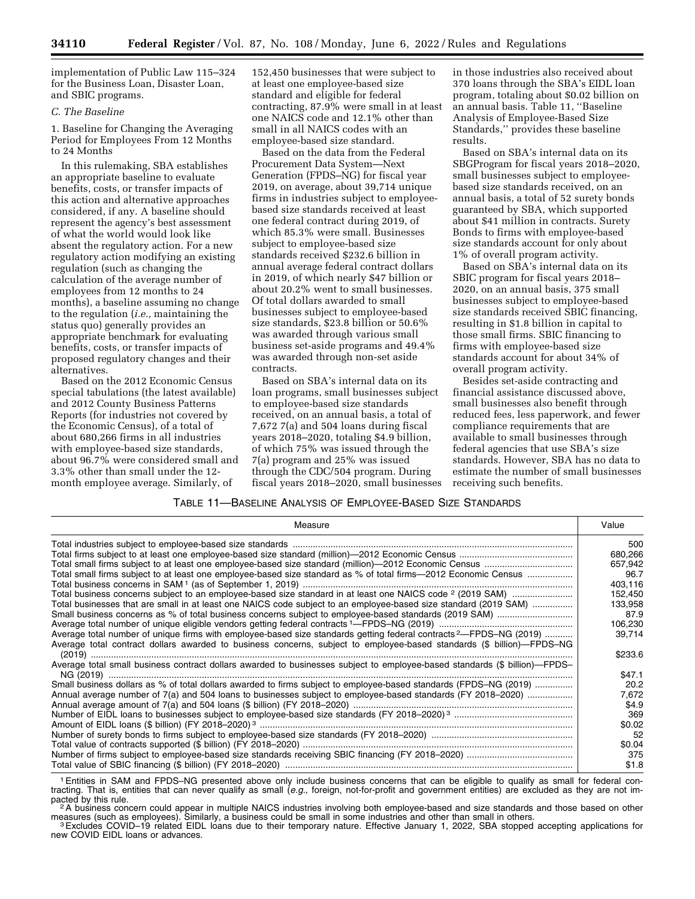implementation of Public Law 115–324 for the Business Loan, Disaster Loan, and SBIC programs.

# *C. The Baseline*

1. Baseline for Changing the Averaging Period for Employees From 12 Months to 24 Months

In this rulemaking, SBA establishes an appropriate baseline to evaluate benefits, costs, or transfer impacts of this action and alternative approaches considered, if any. A baseline should represent the agency's best assessment of what the world would look like absent the regulatory action. For a new regulatory action modifying an existing regulation (such as changing the calculation of the average number of employees from 12 months to 24 months), a baseline assuming no change to the regulation (*i.e.,* maintaining the status quo) generally provides an appropriate benchmark for evaluating benefits, costs, or transfer impacts of proposed regulatory changes and their alternatives.

Based on the 2012 Economic Census special tabulations (the latest available) and 2012 County Business Patterns Reports (for industries not covered by the Economic Census), of a total of about 680,266 firms in all industries with employee-based size standards, about 96.7% were considered small and 3.3% other than small under the 12 month employee average. Similarly, of

152,450 businesses that were subject to at least one employee-based size standard and eligible for federal contracting, 87.9% were small in at least one NAICS code and 12.1% other than small in all NAICS codes with an employee-based size standard.

Based on the data from the Federal Procurement Data System—Next Generation (FPDS–NG) for fiscal year 2019, on average, about 39,714 unique firms in industries subject to employeebased size standards received at least one federal contract during 2019, of which 85.3% were small. Businesses subject to employee-based size standards received \$232.6 billion in annual average federal contract dollars in 2019, of which nearly \$47 billion or about 20.2% went to small businesses. Of total dollars awarded to small businesses subject to employee-based size standards, \$23.8 billion or 50.6% was awarded through various small business set-aside programs and 49.4% was awarded through non-set aside contracts.

Based on SBA's internal data on its loan programs, small businesses subject to employee-based size standards received, on an annual basis, a total of 7,672 7(a) and 504 loans during fiscal years 2018–2020, totaling \$4.9 billion, of which 75% was issued through the 7(a) program and 25% was issued through the CDC/504 program. During fiscal years 2018–2020, small businesses

in those industries also received about 370 loans through the SBA's EIDL loan program, totaling about \$0.02 billion on an annual basis. Table 11, ''Baseline Analysis of Employee-Based Size Standards,'' provides these baseline results.

Based on SBA's internal data on its SBGProgram for fiscal years 2018–2020, small businesses subject to employeebased size standards received, on an annual basis, a total of 52 surety bonds guaranteed by SBA, which supported about \$41 million in contracts. Surety Bonds to firms with employee-based size standards account for only about 1% of overall program activity.

Based on SBA's internal data on its SBIC program for fiscal years 2018– 2020, on an annual basis, 375 small businesses subject to employee-based size standards received SBIC financing, resulting in \$1.8 billion in capital to those small firms. SBIC financing to firms with employee-based size standards account for about 34% of overall program activity.

Besides set-aside contracting and financial assistance discussed above, small businesses also benefit through reduced fees, less paperwork, and fewer compliance requirements that are available to small businesses through federal agencies that use SBA's size standards. However, SBA has no data to estimate the number of small businesses receiving such benefits.

### TABLE 11—BASELINE ANALYSIS OF EMPLOYEE-BASED SIZE STANDARDS

| Measure                                                                                                                                                                                                                                                 | Value          |
|---------------------------------------------------------------------------------------------------------------------------------------------------------------------------------------------------------------------------------------------------------|----------------|
|                                                                                                                                                                                                                                                         | 500            |
|                                                                                                                                                                                                                                                         | 680,266        |
|                                                                                                                                                                                                                                                         | 657,942        |
| Total small firms subject to at least one employee-based size standard as % of total firms—2012 Economic Census                                                                                                                                         | 96.7           |
|                                                                                                                                                                                                                                                         | 403,116        |
|                                                                                                                                                                                                                                                         | 152.450        |
| Total businesses that are small in at least one NAICS code subject to an employee-based size standard (2019 SAM)                                                                                                                                        | 133,958        |
|                                                                                                                                                                                                                                                         | 87.9           |
|                                                                                                                                                                                                                                                         | 106,230        |
| Average total number of unique firms with employee-based size standards getting federal contracts <sup>2</sup> —FPDS–NG (2019)<br>Average total contract dollars awarded to business concerns, subject to employee-based standards (\$ billion)—FPDS–NG | 39.714         |
|                                                                                                                                                                                                                                                         | \$233.6        |
| Average total small business contract dollars awarded to businesses subject to employee-based standards (\$ billion)-FPDS-                                                                                                                              |                |
| Small business dollars as % of total dollars awarded to firms subject to employee-based standards (FPDS-NG (2019)                                                                                                                                       | \$47.1<br>20.2 |
|                                                                                                                                                                                                                                                         | 7,672          |
| Annual average number of 7(a) and 504 loans to businesses subject to employee-based standards (FY 2018-2020)                                                                                                                                            | \$4.9          |
|                                                                                                                                                                                                                                                         | 369            |
|                                                                                                                                                                                                                                                         | \$0.02         |
|                                                                                                                                                                                                                                                         | 52             |
|                                                                                                                                                                                                                                                         | \$0.04         |
|                                                                                                                                                                                                                                                         | 375            |
|                                                                                                                                                                                                                                                         | \$1.8          |

1Entities in SAM and FPDS–NG presented above only include business concerns that can be eligible to qualify as small for federal contracting. That is, entities that can never qualify as small (*e.g.,* foreign, not-for-profit and government entities) are excluded as they are not im-

<sup>'2</sup> A business concern could appear in multiple NAICS industries involving both employee-based and size standards and those based on other<br>measures (such as employees). Similarly, a business could be small in some industr

<sup>3</sup> Excludes COVID-19 related EIDL loans due to their temporary nature. Effective January 1, 2022, SBA stopped accepting applications for new COVID EIDL loans or advances.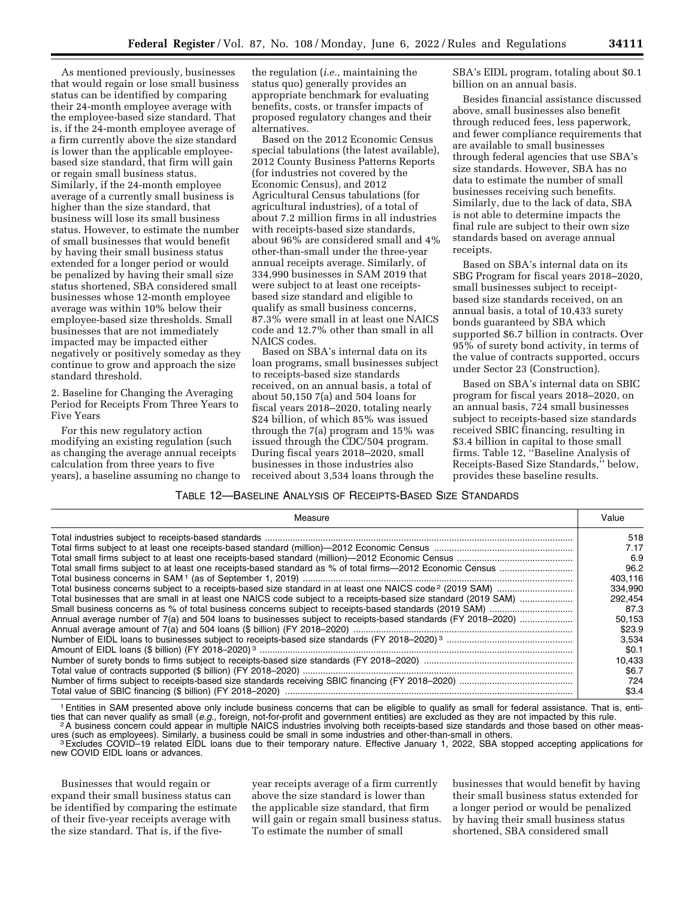As mentioned previously, businesses that would regain or lose small business status can be identified by comparing their 24-month employee average with the employee-based size standard. That is, if the 24-month employee average of a firm currently above the size standard is lower than the applicable employeebased size standard, that firm will gain or regain small business status. Similarly, if the 24-month employee average of a currently small business is higher than the size standard, that business will lose its small business status. However, to estimate the number of small businesses that would benefit by having their small business status extended for a longer period or would be penalized by having their small size status shortened, SBA considered small businesses whose 12-month employee average was within 10% below their employee-based size thresholds. Small businesses that are not immediately impacted may be impacted either negatively or positively someday as they continue to grow and approach the size standard threshold.

2. Baseline for Changing the Averaging Period for Receipts From Three Years to Five Years

For this new regulatory action modifying an existing regulation (such as changing the average annual receipts calculation from three years to five years), a baseline assuming no change to

the regulation (*i.e.,* maintaining the status quo) generally provides an appropriate benchmark for evaluating benefits, costs, or transfer impacts of proposed regulatory changes and their alternatives.

Based on the 2012 Economic Census special tabulations (the latest available), 2012 County Business Patterns Reports (for industries not covered by the Economic Census), and 2012 Agricultural Census tabulations (for agricultural industries), of a total of about 7.2 million firms in all industries with receipts-based size standards, about 96% are considered small and 4% other-than-small under the three-year annual receipts average. Similarly, of 334,990 businesses in SAM 2019 that were subject to at least one receiptsbased size standard and eligible to qualify as small business concerns, 87.3% were small in at least one NAICS code and 12.7% other than small in all NAICS codes.

Based on SBA's internal data on its loan programs, small businesses subject to receipts-based size standards received, on an annual basis, a total of about 50,150 7(a) and 504 loans for fiscal years 2018–2020, totaling nearly \$24 billion, of which 85% was issued through the 7(a) program and 15% was issued through the CDC/504 program. During fiscal years 2018–2020, small businesses in those industries also received about 3,534 loans through the

SBA's EIDL program, totaling about \$0.1 billion on an annual basis.

Besides financial assistance discussed above, small businesses also benefit through reduced fees, less paperwork, and fewer compliance requirements that are available to small businesses through federal agencies that use SBA's size standards. However, SBA has no data to estimate the number of small businesses receiving such benefits. Similarly, due to the lack of data, SBA is not able to determine impacts the final rule are subject to their own size standards based on average annual receipts.

Based on SBA's internal data on its SBG Program for fiscal years 2018–2020, small businesses subject to receiptbased size standards received, on an annual basis, a total of 10,433 surety bonds guaranteed by SBA which supported \$6.7 billion in contracts. Over 95% of surety bond activity, in terms of the value of contracts supported, occurs under Sector 23 (Construction).

Based on SBA's internal data on SBIC program for fiscal years 2018–2020, on an annual basis, 724 small businesses subject to receipts-based size standards received SBIC financing, resulting in \$3.4 billion in capital to those small firms. Table 12, ''Baseline Analysis of Receipts-Based Size Standards,'' below, provides these baseline results.

### TABLE 12—BASELINE ANALYSIS OF RECEIPTS-BASED SIZE STANDARDS

| Measure                                                                                                         | Value   |
|-----------------------------------------------------------------------------------------------------------------|---------|
|                                                                                                                 | 518     |
|                                                                                                                 | 7.17    |
|                                                                                                                 | 6.9     |
|                                                                                                                 | 96.2    |
|                                                                                                                 | 403.116 |
|                                                                                                                 | 334.990 |
| Total businesses that are small in at least one NAICS code subject to a receipts-based size standard (2019 SAM) | 292.454 |
|                                                                                                                 | 87.3    |
|                                                                                                                 | 50,153  |
|                                                                                                                 | \$23.9  |
|                                                                                                                 | 3.534   |
|                                                                                                                 | \$0.1   |
|                                                                                                                 | 10.433  |
|                                                                                                                 | \$6.7   |
|                                                                                                                 | 724     |
|                                                                                                                 | \$3.4   |

1Entities in SAM presented above only include business concerns that can be eligible to qualify as small for federal assistance. That is, enti-Except that can never quality as small (e.g., foreign, not-for-profit and government entities) are excluded as they are not impacted by this rule.<br><sup>2</sup>A business concern could appear in multiple NAICS industries involving b

<sup>3</sup> Excludes COVID-19 related EIDL loans due to their temporary nature. Effective January 1, 2022, SBA stopped accepting applications for

new COVID EIDL loans or advances.

Businesses that would regain or expand their small business status can be identified by comparing the estimate of their five-year receipts average with the size standard. That is, if the fiveyear receipts average of a firm currently above the size standard is lower than the applicable size standard, that firm will gain or regain small business status. To estimate the number of small

businesses that would benefit by having their small business status extended for a longer period or would be penalized by having their small business status shortened, SBA considered small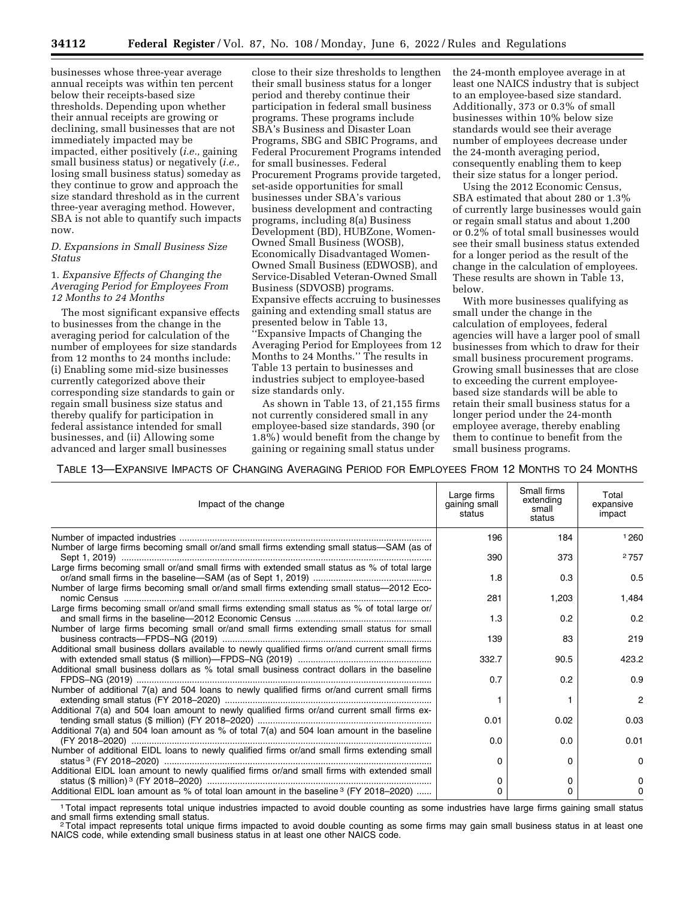businesses whose three-year average annual receipts was within ten percent below their receipts-based size thresholds. Depending upon whether their annual receipts are growing or declining, small businesses that are not immediately impacted may be impacted, either positively (*i.e.,* gaining small business status) or negatively (*i.e.,*  losing small business status) someday as they continue to grow and approach the size standard threshold as in the current three-year averaging method. However, SBA is not able to quantify such impacts now.

### *D. Expansions in Small Business Size Status*

1. *Expansive Effects of Changing the Averaging Period for Employees From 12 Months to 24 Months* 

The most significant expansive effects to businesses from the change in the averaging period for calculation of the number of employees for size standards from 12 months to 24 months include: (i) Enabling some mid-size businesses currently categorized above their corresponding size standards to gain or regain small business size status and thereby qualify for participation in federal assistance intended for small businesses, and (ii) Allowing some advanced and larger small businesses

close to their size thresholds to lengthen their small business status for a longer period and thereby continue their participation in federal small business programs. These programs include SBA's Business and Disaster Loan Programs, SBG and SBIC Programs, and Federal Procurement Programs intended for small businesses. Federal Procurement Programs provide targeted, set-aside opportunities for small businesses under SBA's various business development and contracting programs, including 8(a) Business Development (BD), HUBZone, Women-Owned Small Business (WOSB), Economically Disadvantaged Women-Owned Small Business (EDWOSB), and Service-Disabled Veteran-Owned Small Business (SDVOSB) programs. Expansive effects accruing to businesses gaining and extending small status are presented below in Table 13, ''Expansive Impacts of Changing the Averaging Period for Employees from 12 Months to 24 Months.'' The results in Table 13 pertain to businesses and industries subject to employee-based size standards only.

As shown in Table 13, of 21,155 firms not currently considered small in any employee-based size standards, 390 (or 1.8%) would benefit from the change by gaining or regaining small status under

the 24-month employee average in at least one NAICS industry that is subject to an employee-based size standard. Additionally, 373 or 0.3% of small businesses within 10% below size standards would see their average number of employees decrease under the 24-month averaging period, consequently enabling them to keep their size status for a longer period.

Using the 2012 Economic Census, SBA estimated that about 280 or 1.3% of currently large businesses would gain or regain small status and about 1,200 or 0.2% of total small businesses would see their small business status extended for a longer period as the result of the change in the calculation of employees. These results are shown in Table 13, below.

With more businesses qualifying as small under the change in the calculation of employees, federal agencies will have a larger pool of small businesses from which to draw for their small business procurement programs. Growing small businesses that are close to exceeding the current employeebased size standards will be able to retain their small business status for a longer period under the 24-month employee average, thereby enabling them to continue to benefit from the small business programs.

TABLE 13—EXPANSIVE IMPACTS OF CHANGING AVERAGING PERIOD FOR EMPLOYEES FROM 12 MONTHS TO 24 MONTHS

| Impact of the change                                                                                                                                                                     | Large firms<br>gaining small<br>status | Small firms<br>extending<br>small<br>status | Total<br>expansive<br>impact |
|------------------------------------------------------------------------------------------------------------------------------------------------------------------------------------------|----------------------------------------|---------------------------------------------|------------------------------|
|                                                                                                                                                                                          | 196                                    | 184                                         | 1260                         |
| Number of large firms becoming small or/and small firms extending small status-SAM (as of                                                                                                | 390                                    | 373                                         | 2757                         |
| Large firms becoming small or/and small firms with extended small status as % of total large<br>Number of large firms becoming small or/and small firms extending small status-2012 Eco- | 1.8                                    | 0.3                                         | 0.5                          |
|                                                                                                                                                                                          | 281                                    | 1,203                                       | 1.484                        |
| Large firms becoming small or/and small firms extending small status as % of total large or/                                                                                             | 1.3                                    | 0.2                                         | 0.2                          |
| Number of large firms becoming small or/and small firms extending small status for small                                                                                                 | 139                                    | 83                                          | 219                          |
| Additional small business dollars available to newly qualified firms or/and current small firms                                                                                          | 332.7                                  | 90.5                                        | 423.2                        |
| Additional small business dollars as % total small business contract dollars in the baseline                                                                                             | 0.7                                    | 0.2                                         | 0.9                          |
| Number of additional 7(a) and 504 loans to newly qualified firms or/and current small firms                                                                                              |                                        |                                             | $\overline{2}$               |
| Additional 7(a) and 504 loan amount to newly qualified firms or/and current small firms ex-                                                                                              | 0.01                                   | 0.02                                        | 0.03                         |
| Additional 7(a) and 504 loan amount as % of total 7(a) and 504 loan amount in the baseline                                                                                               | 0.0                                    | 0.0                                         | 0.01                         |
| Number of additional EIDL loans to newly qualified firms or/and small firms extending small                                                                                              |                                        |                                             |                              |
| Additional EIDL loan amount to newly qualified firms or/and small firms with extended small                                                                                              | $\Omega$                               | $\Omega$                                    | 0                            |
|                                                                                                                                                                                          | 0                                      | 0                                           | 0                            |
| Additional EIDL loan amount as % of total loan amount in the baseline <sup>3</sup> (FY 2018-2020)                                                                                        | 0                                      | O                                           | 0                            |

1Total impact represents total unique industries impacted to avoid double counting as some industries have large firms gaining small status

<sup>2</sup>Total impact represents total unique firms impacted to avoid double counting as some firms may gain small business status in at least one NAICS code, while extending small business status in at least one other NAICS code.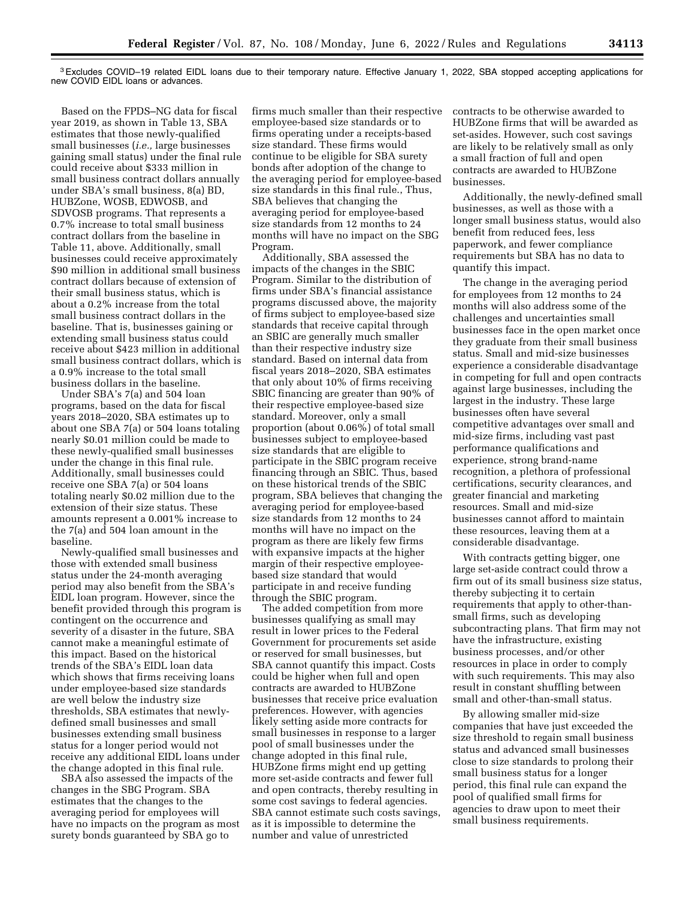3Excludes COVID–19 related EIDL loans due to their temporary nature. Effective January 1, 2022, SBA stopped accepting applications for new COVID EIDL loans or advances.

Based on the FPDS–NG data for fiscal year 2019, as shown in Table 13, SBA estimates that those newly-qualified small businesses (*i.e.,* large businesses gaining small status) under the final rule could receive about \$333 million in small business contract dollars annually under SBA's small business, 8(a) BD, HUBZone, WOSB, EDWOSB, and SDVOSB programs. That represents a 0.7% increase to total small business contract dollars from the baseline in Table 11, above. Additionally, small businesses could receive approximately \$90 million in additional small business contract dollars because of extension of their small business status, which is about a 0.2% increase from the total small business contract dollars in the baseline. That is, businesses gaining or extending small business status could receive about \$423 million in additional small business contract dollars, which is a 0.9% increase to the total small business dollars in the baseline.

Under SBA's 7(a) and 504 loan programs, based on the data for fiscal years 2018–2020, SBA estimates up to about one SBA 7(a) or 504 loans totaling nearly \$0.01 million could be made to these newly-qualified small businesses under the change in this final rule. Additionally, small businesses could receive one SBA 7(a) or 504 loans totaling nearly \$0.02 million due to the extension of their size status. These amounts represent a 0.001% increase to the 7(a) and 504 loan amount in the baseline.

Newly-qualified small businesses and those with extended small business status under the 24-month averaging period may also benefit from the SBA's EIDL loan program. However, since the benefit provided through this program is contingent on the occurrence and severity of a disaster in the future, SBA cannot make a meaningful estimate of this impact. Based on the historical trends of the SBA's EIDL loan data which shows that firms receiving loans under employee-based size standards are well below the industry size thresholds, SBA estimates that newlydefined small businesses and small businesses extending small business status for a longer period would not receive any additional EIDL loans under the change adopted in this final rule.

SBA also assessed the impacts of the changes in the SBG Program. SBA estimates that the changes to the averaging period for employees will have no impacts on the program as most surety bonds guaranteed by SBA go to

firms much smaller than their respective employee-based size standards or to firms operating under a receipts-based size standard. These firms would continue to be eligible for SBA surety bonds after adoption of the change to the averaging period for employee-based size standards in this final rule., Thus, SBA believes that changing the averaging period for employee-based size standards from 12 months to 24 months will have no impact on the SBG Program.

Additionally, SBA assessed the impacts of the changes in the SBIC Program. Similar to the distribution of firms under SBA's financial assistance programs discussed above, the majority of firms subject to employee-based size standards that receive capital through an SBIC are generally much smaller than their respective industry size standard. Based on internal data from fiscal years 2018–2020, SBA estimates that only about 10% of firms receiving SBIC financing are greater than 90% of their respective employee-based size standard. Moreover, only a small proportion (about 0.06%) of total small businesses subject to employee-based size standards that are eligible to participate in the SBIC program receive financing through an SBIC. Thus, based on these historical trends of the SBIC program, SBA believes that changing the averaging period for employee-based size standards from 12 months to 24 months will have no impact on the program as there are likely few firms with expansive impacts at the higher margin of their respective employeebased size standard that would participate in and receive funding through the SBIC program.

The added competition from more businesses qualifying as small may result in lower prices to the Federal Government for procurements set aside or reserved for small businesses, but SBA cannot quantify this impact. Costs could be higher when full and open contracts are awarded to HUBZone businesses that receive price evaluation preferences. However, with agencies likely setting aside more contracts for small businesses in response to a larger pool of small businesses under the change adopted in this final rule, HUBZone firms might end up getting more set-aside contracts and fewer full and open contracts, thereby resulting in some cost savings to federal agencies. SBA cannot estimate such costs savings, as it is impossible to determine the number and value of unrestricted

contracts to be otherwise awarded to HUBZone firms that will be awarded as set-asides. However, such cost savings are likely to be relatively small as only a small fraction of full and open contracts are awarded to HUBZone businesses.

Additionally, the newly-defined small businesses, as well as those with a longer small business status, would also benefit from reduced fees, less paperwork, and fewer compliance requirements but SBA has no data to quantify this impact.

The change in the averaging period for employees from 12 months to 24 months will also address some of the challenges and uncertainties small businesses face in the open market once they graduate from their small business status. Small and mid-size businesses experience a considerable disadvantage in competing for full and open contracts against large businesses, including the largest in the industry. These large businesses often have several competitive advantages over small and mid-size firms, including vast past performance qualifications and experience, strong brand-name recognition, a plethora of professional certifications, security clearances, and greater financial and marketing resources. Small and mid-size businesses cannot afford to maintain these resources, leaving them at a considerable disadvantage.

With contracts getting bigger, one large set-aside contract could throw a firm out of its small business size status, thereby subjecting it to certain requirements that apply to other-thansmall firms, such as developing subcontracting plans. That firm may not have the infrastructure, existing business processes, and/or other resources in place in order to comply with such requirements. This may also result in constant shuffling between small and other-than-small status.

By allowing smaller mid-size companies that have just exceeded the size threshold to regain small business status and advanced small businesses close to size standards to prolong their small business status for a longer period, this final rule can expand the pool of qualified small firms for agencies to draw upon to meet their small business requirements.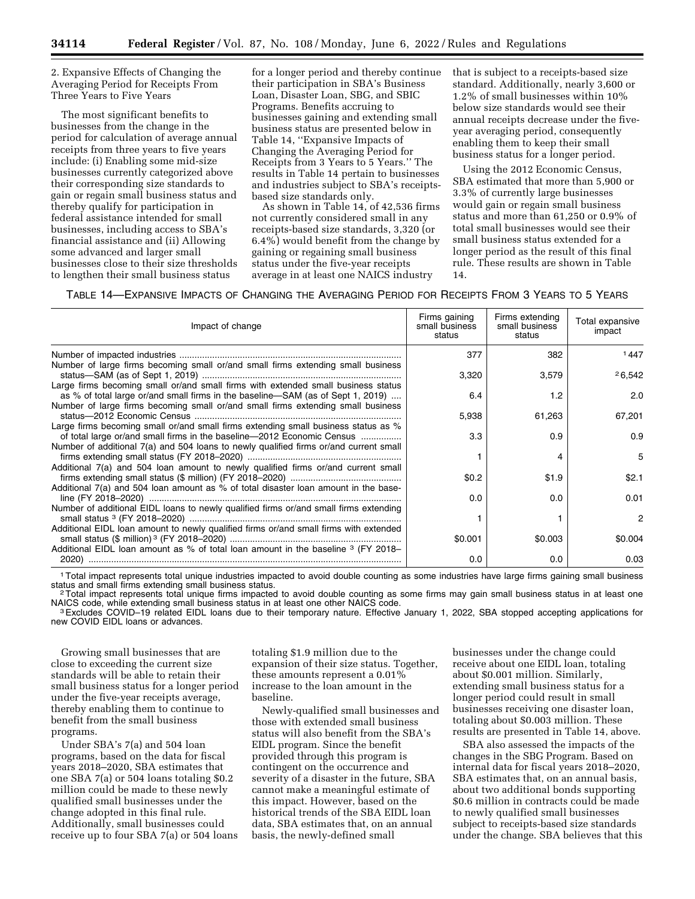2. Expansive Effects of Changing the Averaging Period for Receipts From Three Years to Five Years

The most significant benefits to businesses from the change in the period for calculation of average annual receipts from three years to five years include: (i) Enabling some mid-size businesses currently categorized above their corresponding size standards to gain or regain small business status and thereby qualify for participation in federal assistance intended for small businesses, including access to SBA's financial assistance and (ii) Allowing some advanced and larger small businesses close to their size thresholds to lengthen their small business status

for a longer period and thereby continue their participation in SBA's Business Loan, Disaster Loan, SBG, and SBIC Programs. Benefits accruing to businesses gaining and extending small business status are presented below in Table 14, ''Expansive Impacts of Changing the Averaging Period for Receipts from 3 Years to 5 Years.'' The results in Table 14 pertain to businesses and industries subject to SBA's receiptsbased size standards only.

As shown in Table 14, of 42,536 firms not currently considered small in any receipts-based size standards, 3,320 (or 6.4%) would benefit from the change by gaining or regaining small business status under the five-year receipts average in at least one NAICS industry

that is subject to a receipts-based size standard. Additionally, nearly 3,600 or 1.2% of small businesses within 10% below size standards would see their annual receipts decrease under the fiveyear averaging period, consequently enabling them to keep their small business status for a longer period.

Using the 2012 Economic Census, SBA estimated that more than 5,900 or 3.3% of currently large businesses would gain or regain small business status and more than 61,250 or 0.9% of total small businesses would see their small business status extended for a longer period as the result of this final rule. These results are shown in Table 14.

# TABLE 14—EXPANSIVE IMPACTS OF CHANGING THE AVERAGING PERIOD FOR RECEIPTS FROM 3 YEARS TO 5 YEARS

| Impact of change                                                                                                                                                           | Firms gaining<br>small business<br>status | Firms extending<br>small business<br>status | Total expansive<br>impact |
|----------------------------------------------------------------------------------------------------------------------------------------------------------------------------|-------------------------------------------|---------------------------------------------|---------------------------|
|                                                                                                                                                                            | 377                                       | 382                                         | 1447                      |
| Number of large firms becoming small or/and small firms extending small business                                                                                           | 3,320                                     | 3,579                                       | 26,542                    |
| Large firms becoming small or/and small firms with extended small business status<br>as % of total large or/and small firms in the baseline—SAM (as of Sept 1, 2019)       | 6.4                                       | 1.2                                         | 2.0                       |
| Number of large firms becoming small or/and small firms extending small business                                                                                           | 5,938                                     | 61,263                                      | 67,201                    |
| Large firms becoming small or/and small firms extending small business status as %<br>of total large or/and small firms in the baseline—2012 Economic Census               | 3.3                                       | 0.9                                         | 0.9                       |
| Number of additional 7(a) and 504 loans to newly qualified firms or/and current small                                                                                      |                                           | 4                                           | 5                         |
| Additional 7(a) and 504 loan amount to newly qualified firms or/and current small                                                                                          | \$0.2                                     | \$1.9                                       | \$2.1                     |
| Additional 7(a) and 504 loan amount as % of total disaster loan amount in the base-                                                                                        | 0.0                                       | 0.0                                         | 0.01                      |
| Number of additional EIDL loans to newly qualified firms or/and small firms extending                                                                                      |                                           |                                             | 2                         |
| Additional EIDL loan amount to newly qualified firms or/and small firms with extended<br>Additional EIDL loan amount as % of total loan amount in the baseline 3 (FY 2018– | \$0.001                                   | \$0.003                                     | \$0.004                   |
|                                                                                                                                                                            | 0.0                                       | 0.0                                         | 0.03                      |

<sup>1</sup> Total impact represents total unique industries impacted to avoid double counting as some industries have large firms gaining small business status.

<sup>2</sup>Total impact represents total unique firms impacted to avoid double counting as some firms may gain small business status in at least one<br>NAICS code, while extending small business status in at least one other NAICS cod

<sup>3</sup> Excludes COVID-19 related EIDL loans due to their temporary nature. Effective January 1, 2022, SBA stopped accepting applications for new COVID EIDL loans or advances.

Growing small businesses that are close to exceeding the current size standards will be able to retain their small business status for a longer period under the five-year receipts average, thereby enabling them to continue to benefit from the small business programs.

Under SBA's 7(a) and 504 loan programs, based on the data for fiscal years 2018–2020, SBA estimates that one SBA 7(a) or 504 loans totaling \$0.2 million could be made to these newly qualified small businesses under the change adopted in this final rule. Additionally, small businesses could receive up to four SBA 7(a) or 504 loans

totaling \$1.9 million due to the expansion of their size status. Together, these amounts represent a 0.01% increase to the loan amount in the baseline.

Newly-qualified small businesses and those with extended small business status will also benefit from the SBA's EIDL program. Since the benefit provided through this program is contingent on the occurrence and severity of a disaster in the future, SBA cannot make a meaningful estimate of this impact. However, based on the historical trends of the SBA EIDL loan data, SBA estimates that, on an annual basis, the newly-defined small

businesses under the change could receive about one EIDL loan, totaling about \$0.001 million. Similarly, extending small business status for a longer period could result in small businesses receiving one disaster loan, totaling about \$0.003 million. These results are presented in Table 14, above.

SBA also assessed the impacts of the changes in the SBG Program. Based on internal data for fiscal years 2018–2020, SBA estimates that, on an annual basis, about two additional bonds supporting \$0.6 million in contracts could be made to newly qualified small businesses subject to receipts-based size standards under the change. SBA believes that this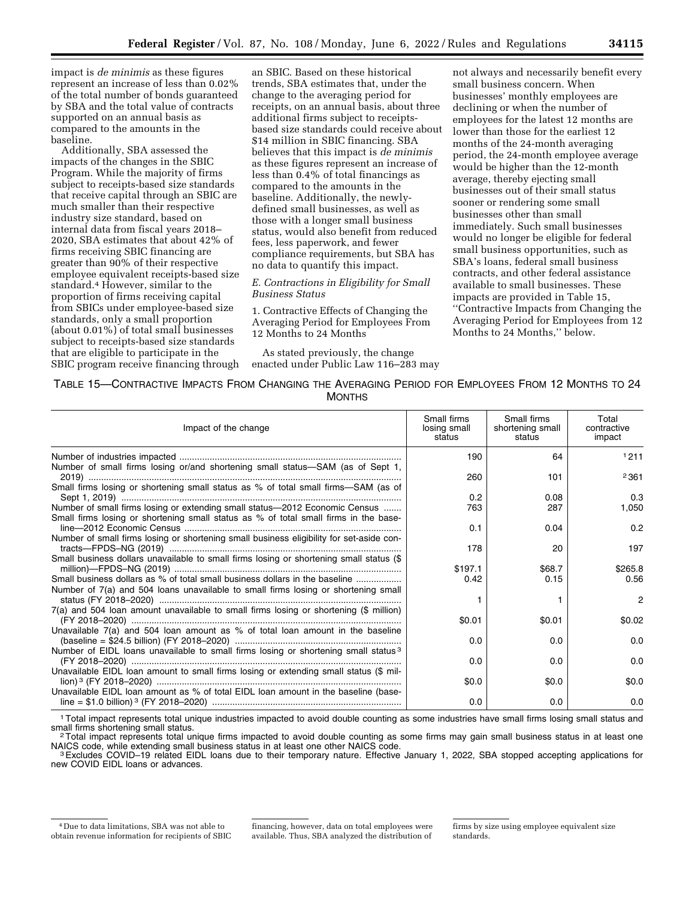impact is *de minimis* as these figures represent an increase of less than 0.02% of the total number of bonds guaranteed by SBA and the total value of contracts supported on an annual basis as compared to the amounts in the baseline.

Additionally, SBA assessed the impacts of the changes in the SBIC Program. While the majority of firms subject to receipts-based size standards that receive capital through an SBIC are much smaller than their respective industry size standard, based on internal data from fiscal years 2018– 2020, SBA estimates that about 42% of firms receiving SBIC financing are greater than 90% of their respective employee equivalent receipts-based size standard.4 However, similar to the proportion of firms receiving capital from SBICs under employee-based size standards, only a small proportion (about 0.01%) of total small businesses subject to receipts-based size standards that are eligible to participate in the SBIC program receive financing through

an SBIC. Based on these historical trends, SBA estimates that, under the change to the averaging period for receipts, on an annual basis, about three additional firms subject to receiptsbased size standards could receive about \$14 million in SBIC financing. SBA believes that this impact is *de minimis*  as these figures represent an increase of less than 0.4% of total financings as compared to the amounts in the baseline. Additionally, the newlydefined small businesses, as well as those with a longer small business status, would also benefit from reduced fees, less paperwork, and fewer compliance requirements, but SBA has no data to quantify this impact.

# *E. Contractions in Eligibility for Small Business Status*

1. Contractive Effects of Changing the Averaging Period for Employees From 12 Months to 24 Months

As stated previously, the change enacted under Public Law 116–283 may

not always and necessarily benefit every small business concern. When businesses' monthly employees are declining or when the number of employees for the latest 12 months are lower than those for the earliest 12 months of the 24-month averaging period, the 24-month employee average would be higher than the 12-month average, thereby ejecting small businesses out of their small status sooner or rendering some small businesses other than small immediately. Such small businesses would no longer be eligible for federal small business opportunities, such as SBA's loans, federal small business contracts, and other federal assistance available to small businesses. These impacts are provided in Table 15, ''Contractive Impacts from Changing the Averaging Period for Employees from 12 Months to 24 Months,'' below.

TABLE 15—CONTRACTIVE IMPACTS FROM CHANGING THE AVERAGING PERIOD FOR EMPLOYEES FROM 12 MONTHS TO 24 **MONTHS** 

| Impact of the change                                                                           | Small firms<br>losing small<br>status | Small firms<br>shortening small<br>status | Total<br>contractive<br>impact |
|------------------------------------------------------------------------------------------------|---------------------------------------|-------------------------------------------|--------------------------------|
|                                                                                                | 190                                   | 64                                        | 1211                           |
| Number of small firms losing or/and shortening small status-SAM (as of Sept 1,                 | 260                                   | 101                                       | 2361                           |
| Small firms losing or shortening small status as % of total small firms-SAM (as of             | 0.2                                   | 0.08                                      | 0.3                            |
| Number of small firms losing or extending small status-2012 Economic Census                    | 763                                   | 287                                       | 1,050                          |
| Small firms losing or shortening small status as % of total small firms in the base-           |                                       |                                           |                                |
|                                                                                                | 0.1                                   | 0.04                                      | 0.2                            |
| Number of small firms losing or shortening small business eligibility for set-aside con-       |                                       |                                           |                                |
|                                                                                                | 178                                   | 20                                        | 197                            |
| Small business dollars unavailable to small firms losing or shortening small status (\$        |                                       |                                           |                                |
|                                                                                                | \$197.1                               | \$68.7                                    | \$265.8                        |
| Small business dollars as % of total small business dollars in the baseline                    | 0.42                                  | 0.15                                      | 0.56                           |
| Number of 7(a) and 504 loans unavailable to small firms losing or shortening small             |                                       |                                           |                                |
|                                                                                                |                                       |                                           | 2                              |
| 7(a) and 504 loan amount unavailable to small firms losing or shortening (\$ million)          |                                       |                                           |                                |
|                                                                                                | \$0.01                                | \$0.01                                    | \$0.02                         |
| Unavailable 7(a) and 504 loan amount as % of total loan amount in the baseline                 |                                       |                                           |                                |
|                                                                                                | 0.0                                   | 0.0                                       | 0.0                            |
| Number of EIDL loans unavailable to small firms losing or shortening small status <sup>3</sup> |                                       |                                           | 0.0                            |
| Unavailable EIDL loan amount to small firms losing or extending small status (\$ mil-          | 0.0                                   | 0.0                                       |                                |
|                                                                                                | \$0.0                                 | \$0.0                                     | \$0.0                          |
| Unavailable EIDL loan amount as % of total EIDL loan amount in the baseline (base-             |                                       |                                           |                                |
|                                                                                                | 0.0                                   | 0.0                                       | 0.0                            |
|                                                                                                |                                       |                                           |                                |

<sup>1</sup>Total impact represents total unique industries impacted to avoid double counting as some industries have small firms losing small status and small firms shortening small status.

<sup>2</sup> Total impact represents total unique firms impacted to avoid double counting as some firms may gain small business status in at least one<br>NAICS code, while extending small business status in at least one other NAICS co

<sup>3</sup> Excludes COVID–19 related EIDL loans due to their temporary nature. Effective January 1, 2022, SBA stopped accepting applications for new COVID EIDL loans or advances.

<sup>4</sup> Due to data limitations, SBA was not able to obtain revenue information for recipients of SBIC

financing, however, data on total employees were available. Thus, SBA analyzed the distribution of

firms by size using employee equivalent size standards.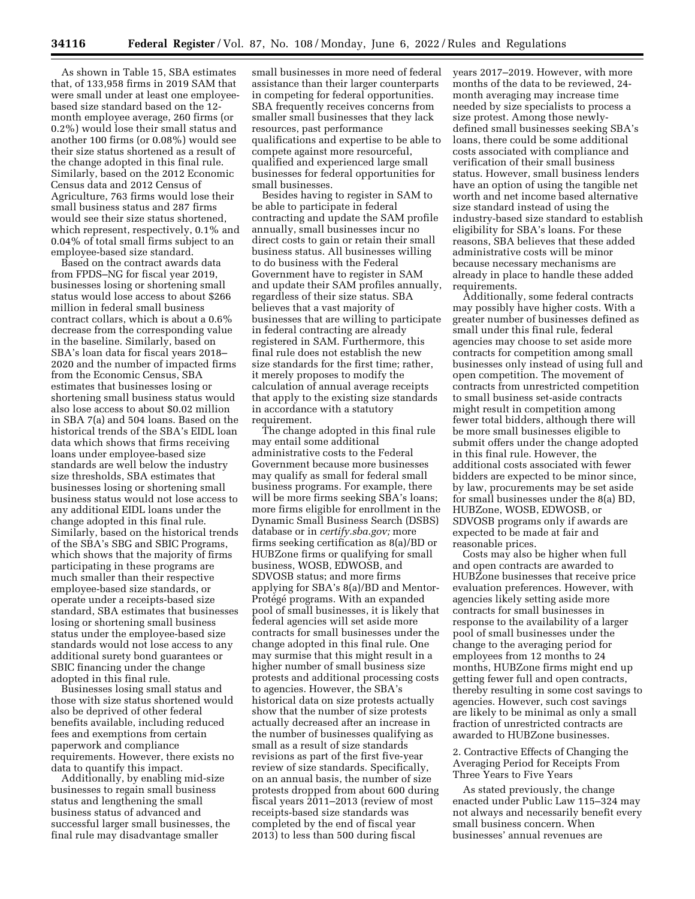As shown in Table 15, SBA estimates that, of 133,958 firms in 2019 SAM that were small under at least one employeebased size standard based on the 12 month employee average, 260 firms (or 0.2%) would lose their small status and another 100 firms (or 0.08%) would see their size status shortened as a result of the change adopted in this final rule. Similarly, based on the 2012 Economic Census data and 2012 Census of Agriculture, 763 firms would lose their small business status and 287 firms would see their size status shortened, which represent, respectively, 0.1% and 0.04% of total small firms subject to an employee-based size standard.

Based on the contract awards data from FPDS–NG for fiscal year 2019, businesses losing or shortening small status would lose access to about \$266 million in federal small business contract collars, which is about a 0.6% decrease from the corresponding value in the baseline. Similarly, based on SBA's loan data for fiscal years 2018– 2020 and the number of impacted firms from the Economic Census, SBA estimates that businesses losing or shortening small business status would also lose access to about \$0.02 million in SBA 7(a) and 504 loans. Based on the historical trends of the SBA's EIDL loan data which shows that firms receiving loans under employee-based size standards are well below the industry size thresholds, SBA estimates that businesses losing or shortening small business status would not lose access to any additional EIDL loans under the change adopted in this final rule. Similarly, based on the historical trends of the SBA's SBG and SBIC Programs, which shows that the majority of firms participating in these programs are much smaller than their respective employee-based size standards, or operate under a receipts-based size standard, SBA estimates that businesses losing or shortening small business status under the employee-based size standards would not lose access to any additional surety bond guarantees or SBIC financing under the change adopted in this final rule.

Businesses losing small status and those with size status shortened would also be deprived of other federal benefits available, including reduced fees and exemptions from certain paperwork and compliance requirements. However, there exists no data to quantify this impact.

Additionally, by enabling mid-size businesses to regain small business status and lengthening the small business status of advanced and successful larger small businesses, the final rule may disadvantage smaller

small businesses in more need of federal assistance than their larger counterparts in competing for federal opportunities. SBA frequently receives concerns from smaller small businesses that they lack resources, past performance qualifications and expertise to be able to compete against more resourceful, qualified and experienced large small businesses for federal opportunities for small businesses.

Besides having to register in SAM to be able to participate in federal contracting and update the SAM profile annually, small businesses incur no direct costs to gain or retain their small business status. All businesses willing to do business with the Federal Government have to register in SAM and update their SAM profiles annually, regardless of their size status. SBA believes that a vast majority of businesses that are willing to participate in federal contracting are already registered in SAM. Furthermore, this final rule does not establish the new size standards for the first time; rather, it merely proposes to modify the calculation of annual average receipts that apply to the existing size standards in accordance with a statutory requirement.

The change adopted in this final rule may entail some additional administrative costs to the Federal Government because more businesses may qualify as small for federal small business programs. For example, there will be more firms seeking SBA's loans; more firms eligible for enrollment in the Dynamic Small Business Search (DSBS) database or in *certify.sba.gov;* more firms seeking certification as 8(a)/BD or HUBZone firms or qualifying for small business, WOSB, EDWOSB, and SDVOSB status; and more firms applying for SBA's 8(a)/BD and Mentor-Protégé programs. With an expanded pool of small businesses, it is likely that federal agencies will set aside more contracts for small businesses under the change adopted in this final rule. One may surmise that this might result in a higher number of small business size protests and additional processing costs to agencies. However, the SBA's historical data on size protests actually show that the number of size protests actually decreased after an increase in the number of businesses qualifying as small as a result of size standards revisions as part of the first five-year review of size standards. Specifically, on an annual basis, the number of size protests dropped from about 600 during fiscal years 2011–2013 (review of most receipts-based size standards was completed by the end of fiscal year 2013) to less than 500 during fiscal

years 2017–2019. However, with more months of the data to be reviewed, 24 month averaging may increase time needed by size specialists to process a size protest. Among those newlydefined small businesses seeking SBA's loans, there could be some additional costs associated with compliance and verification of their small business status. However, small business lenders have an option of using the tangible net worth and net income based alternative size standard instead of using the industry-based size standard to establish eligibility for SBA's loans. For these reasons, SBA believes that these added administrative costs will be minor because necessary mechanisms are already in place to handle these added requirements.

Additionally, some federal contracts may possibly have higher costs. With a greater number of businesses defined as small under this final rule, federal agencies may choose to set aside more contracts for competition among small businesses only instead of using full and open competition. The movement of contracts from unrestricted competition to small business set-aside contracts might result in competition among fewer total bidders, although there will be more small businesses eligible to submit offers under the change adopted in this final rule. However, the additional costs associated with fewer bidders are expected to be minor since, by law, procurements may be set aside for small businesses under the 8(a) BD, HUBZone, WOSB, EDWOSB, or SDVOSB programs only if awards are expected to be made at fair and reasonable prices.

Costs may also be higher when full and open contracts are awarded to HUBZone businesses that receive price evaluation preferences. However, with agencies likely setting aside more contracts for small businesses in response to the availability of a larger pool of small businesses under the change to the averaging period for employees from 12 months to 24 months, HUBZone firms might end up getting fewer full and open contracts, thereby resulting in some cost savings to agencies. However, such cost savings are likely to be minimal as only a small fraction of unrestricted contracts are awarded to HUBZone businesses.

2. Contractive Effects of Changing the Averaging Period for Receipts From Three Years to Five Years

As stated previously, the change enacted under Public Law 115–324 may not always and necessarily benefit every small business concern. When businesses' annual revenues are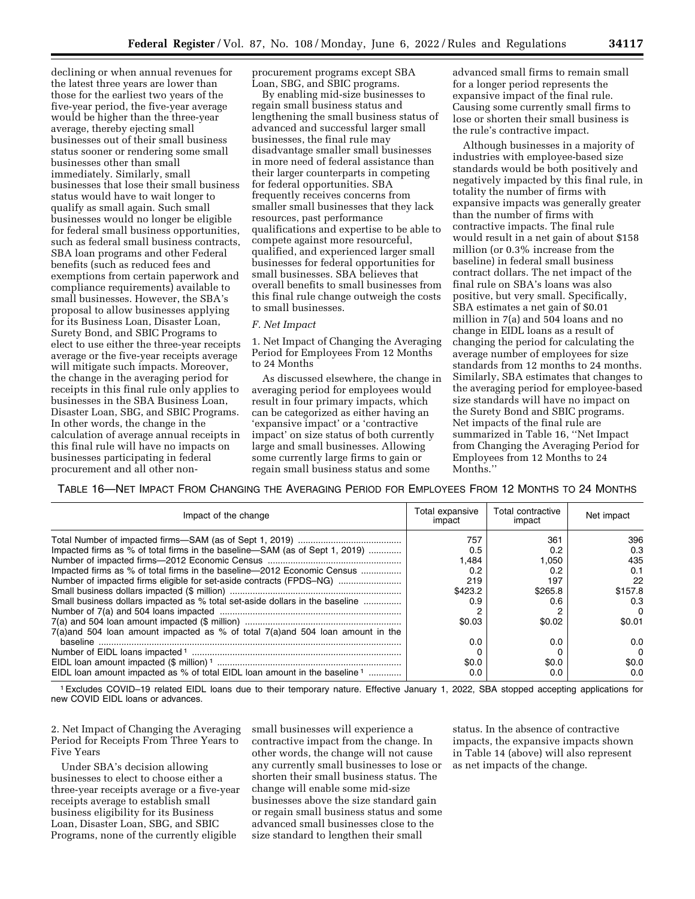declining or when annual revenues for the latest three years are lower than those for the earliest two years of the five-year period, the five-year average would be higher than the three-year average, thereby ejecting small businesses out of their small business status sooner or rendering some small businesses other than small immediately. Similarly, small businesses that lose their small business status would have to wait longer to qualify as small again. Such small businesses would no longer be eligible for federal small business opportunities, such as federal small business contracts, SBA loan programs and other Federal benefits (such as reduced fees and exemptions from certain paperwork and compliance requirements) available to small businesses. However, the SBA's proposal to allow businesses applying for its Business Loan, Disaster Loan, Surety Bond, and SBIC Programs to elect to use either the three-year receipts average or the five-year receipts average will mitigate such impacts. Moreover, the change in the averaging period for receipts in this final rule only applies to businesses in the SBA Business Loan, Disaster Loan, SBG, and SBIC Programs. In other words, the change in the calculation of average annual receipts in this final rule will have no impacts on businesses participating in federal procurement and all other nonprocurement programs except SBA Loan, SBG, and SBIC programs.

By enabling mid-size businesses to regain small business status and lengthening the small business status of advanced and successful larger small businesses, the final rule may disadvantage smaller small businesses in more need of federal assistance than their larger counterparts in competing for federal opportunities. SBA frequently receives concerns from smaller small businesses that they lack resources, past performance qualifications and expertise to be able to compete against more resourceful, qualified, and experienced larger small businesses for federal opportunities for small businesses. SBA believes that overall benefits to small businesses from this final rule change outweigh the costs to small businesses.

#### *F. Net Impact*

1. Net Impact of Changing the Averaging Period for Employees From 12 Months to 24 Months

As discussed elsewhere, the change in averaging period for employees would result in four primary impacts, which can be categorized as either having an 'expansive impact' or a 'contractive impact' on size status of both currently large and small businesses. Allowing some currently large firms to gain or regain small business status and some

advanced small firms to remain small for a longer period represents the expansive impact of the final rule. Causing some currently small firms to lose or shorten their small business is the rule's contractive impact.

Although businesses in a majority of industries with employee-based size standards would be both positively and negatively impacted by this final rule, in totality the number of firms with expansive impacts was generally greater than the number of firms with contractive impacts. The final rule would result in a net gain of about \$158 million (or 0.3% increase from the baseline) in federal small business contract dollars. The net impact of the final rule on SBA's loans was also positive, but very small. Specifically, SBA estimates a net gain of \$0.01 million in 7(a) and 504 loans and no change in EIDL loans as a result of changing the period for calculating the average number of employees for size standards from 12 months to 24 months. Similarly, SBA estimates that changes to the averaging period for employee-based size standards will have no impact on the Surety Bond and SBIC programs. Net impacts of the final rule are summarized in Table 16, ''Net Impact from Changing the Averaging Period for Employees from 12 Months to 24 Months.''

TABLE 16—NET IMPACT FROM CHANGING THE AVERAGING PERIOD FOR EMPLOYEES FROM 12 MONTHS TO 24 MONTHS

| Impact of the change                                                                | Total expansive<br>impact | Total contractive<br>impact | Net impact |
|-------------------------------------------------------------------------------------|---------------------------|-----------------------------|------------|
|                                                                                     | 757                       | 361                         | 396        |
| Impacted firms as % of total firms in the baseline—SAM (as of Sept 1, 2019)         | 0.5                       | 0.2                         | 0.3        |
|                                                                                     | 1.484                     | 1.050                       | 435        |
| Impacted firms as % of total firms in the baseline—2012 Economic Census             | 0.2                       | 0.2                         | 0.1        |
| Number of impacted firms eligible for set-aside contracts (FPDS-NG)                 | 219                       | 197                         | 22         |
|                                                                                     | \$423.2                   | \$265.8                     | \$157.8    |
| Small business dollars impacted as % total set-aside dollars in the baseline        | 0.9                       | 0.6                         | 0.3        |
|                                                                                     |                           |                             | 0          |
|                                                                                     | \$0.03                    | \$0.02                      | \$0.01     |
| $7(a)$ and 504 loan amount impacted as % of total $7(a)$ and 504 loan amount in the |                           |                             |            |
| baseline                                                                            | 0.0                       | 0.0                         | 0.0        |
|                                                                                     |                           |                             | 0          |
|                                                                                     | \$0.0                     | \$0.0                       | \$0.0      |
| EIDL loan amount impacted as % of total EIDL loan amount in the baseline 1          | 0.C                       | 0.0                         | n n        |

1Excludes COVID–19 related EIDL loans due to their temporary nature. Effective January 1, 2022, SBA stopped accepting applications for new COVID EIDL loans or advances.

2. Net Impact of Changing the Averaging Period for Receipts From Three Years to Five Years

Under SBA's decision allowing businesses to elect to choose either a three-year receipts average or a five-year receipts average to establish small business eligibility for its Business Loan, Disaster Loan, SBG, and SBIC Programs, none of the currently eligible

small businesses will experience a contractive impact from the change. In other words, the change will not cause any currently small businesses to lose or shorten their small business status. The change will enable some mid-size businesses above the size standard gain or regain small business status and some advanced small businesses close to the size standard to lengthen their small

status. In the absence of contractive impacts, the expansive impacts shown in Table 14 (above) will also represent as net impacts of the change.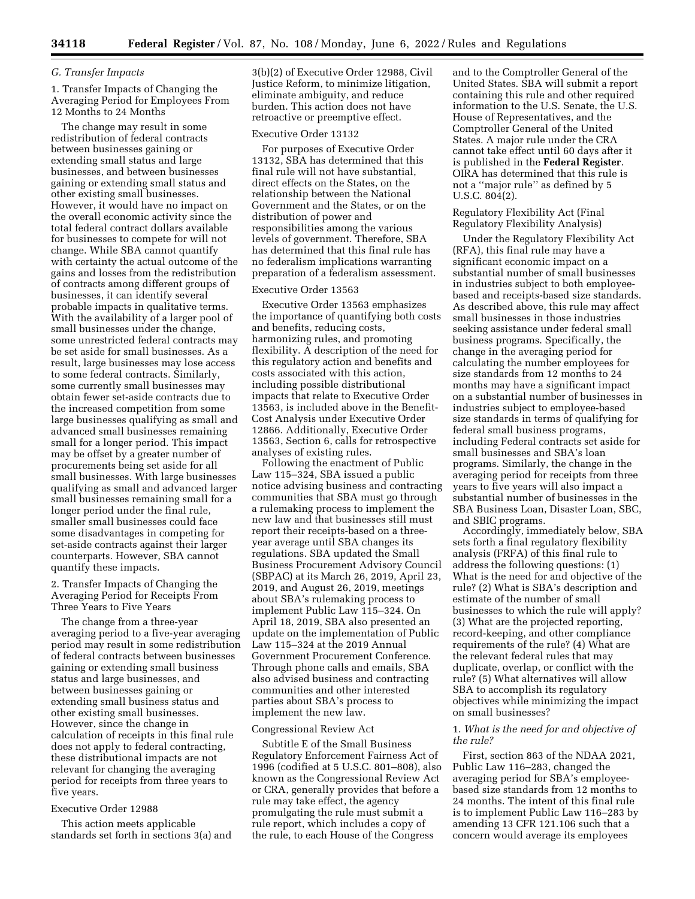# *G. Transfer Impacts*

1. Transfer Impacts of Changing the Averaging Period for Employees From 12 Months to 24 Months

The change may result in some redistribution of federal contracts between businesses gaining or extending small status and large businesses, and between businesses gaining or extending small status and other existing small businesses. However, it would have no impact on the overall economic activity since the total federal contract dollars available for businesses to compete for will not change. While SBA cannot quantify with certainty the actual outcome of the gains and losses from the redistribution of contracts among different groups of businesses, it can identify several probable impacts in qualitative terms. With the availability of a larger pool of small businesses under the change, some unrestricted federal contracts may be set aside for small businesses. As a result, large businesses may lose access to some federal contracts. Similarly, some currently small businesses may obtain fewer set-aside contracts due to the increased competition from some large businesses qualifying as small and advanced small businesses remaining small for a longer period. This impact may be offset by a greater number of procurements being set aside for all small businesses. With large businesses qualifying as small and advanced larger small businesses remaining small for a longer period under the final rule, smaller small businesses could face some disadvantages in competing for set-aside contracts against their larger counterparts. However, SBA cannot quantify these impacts.

2. Transfer Impacts of Changing the Averaging Period for Receipts From Three Years to Five Years

The change from a three-year averaging period to a five-year averaging period may result in some redistribution of federal contracts between businesses gaining or extending small business status and large businesses, and between businesses gaining or extending small business status and other existing small businesses. However, since the change in calculation of receipts in this final rule does not apply to federal contracting, these distributional impacts are not relevant for changing the averaging period for receipts from three years to five years.

### Executive Order 12988

This action meets applicable standards set forth in sections 3(a) and 3(b)(2) of Executive Order 12988, Civil Justice Reform, to minimize litigation, eliminate ambiguity, and reduce burden. This action does not have retroactive or preemptive effect.

### Executive Order 13132

For purposes of Executive Order 13132, SBA has determined that this final rule will not have substantial, direct effects on the States, on the relationship between the National Government and the States, or on the distribution of power and responsibilities among the various levels of government. Therefore, SBA has determined that this final rule has no federalism implications warranting preparation of a federalism assessment.

#### Executive Order 13563

Executive Order 13563 emphasizes the importance of quantifying both costs and benefits, reducing costs, harmonizing rules, and promoting flexibility. A description of the need for this regulatory action and benefits and costs associated with this action, including possible distributional impacts that relate to Executive Order 13563, is included above in the Benefit-Cost Analysis under Executive Order 12866. Additionally, Executive Order 13563, Section 6, calls for retrospective analyses of existing rules.

Following the enactment of Public Law 115–324, SBA issued a public notice advising business and contracting communities that SBA must go through a rulemaking process to implement the new law and that businesses still must report their receipts-based on a threeyear average until SBA changes its regulations. SBA updated the Small Business Procurement Advisory Council (SBPAC) at its March 26, 2019, April 23, 2019, and August 26, 2019, meetings about SBA's rulemaking process to implement Public Law 115–324. On April 18, 2019, SBA also presented an update on the implementation of Public Law 115–324 at the 2019 Annual Government Procurement Conference. Through phone calls and emails, SBA also advised business and contracting communities and other interested parties about SBA's process to implement the new law.

### Congressional Review Act

Subtitle E of the Small Business Regulatory Enforcement Fairness Act of 1996 (codified at 5 U.S.C. 801–808), also known as the Congressional Review Act or CRA, generally provides that before a rule may take effect, the agency promulgating the rule must submit a rule report, which includes a copy of the rule, to each House of the Congress

and to the Comptroller General of the United States. SBA will submit a report containing this rule and other required information to the U.S. Senate, the U.S. House of Representatives, and the Comptroller General of the United States. A major rule under the CRA cannot take effect until 60 days after it is published in the **Federal Register**. OIRA has determined that this rule is not a ''major rule'' as defined by 5 U.S.C. 804(2).

### Regulatory Flexibility Act (Final Regulatory Flexibility Analysis)

Under the Regulatory Flexibility Act (RFA), this final rule may have a significant economic impact on a substantial number of small businesses in industries subject to both employeebased and receipts-based size standards. As described above, this rule may affect small businesses in those industries seeking assistance under federal small business programs. Specifically, the change in the averaging period for calculating the number employees for size standards from 12 months to 24 months may have a significant impact on a substantial number of businesses in industries subject to employee-based size standards in terms of qualifying for federal small business programs, including Federal contracts set aside for small businesses and SBA's loan programs. Similarly, the change in the averaging period for receipts from three years to five years will also impact a substantial number of businesses in the SBA Business Loan, Disaster Loan, SBC, and SBIC programs.

Accordingly, immediately below, SBA sets forth a final regulatory flexibility analysis (FRFA) of this final rule to address the following questions: (1) What is the need for and objective of the rule? (2) What is SBA's description and estimate of the number of small businesses to which the rule will apply? (3) What are the projected reporting, record-keeping, and other compliance requirements of the rule? (4) What are the relevant federal rules that may duplicate, overlap, or conflict with the rule? (5) What alternatives will allow SBA to accomplish its regulatory objectives while minimizing the impact on small businesses?

### 1. *What is the need for and objective of the rule?*

First, section 863 of the NDAA 2021, Public Law 116–283, changed the averaging period for SBA's employeebased size standards from 12 months to 24 months. The intent of this final rule is to implement Public Law 116–283 by amending 13 CFR 121.106 such that a concern would average its employees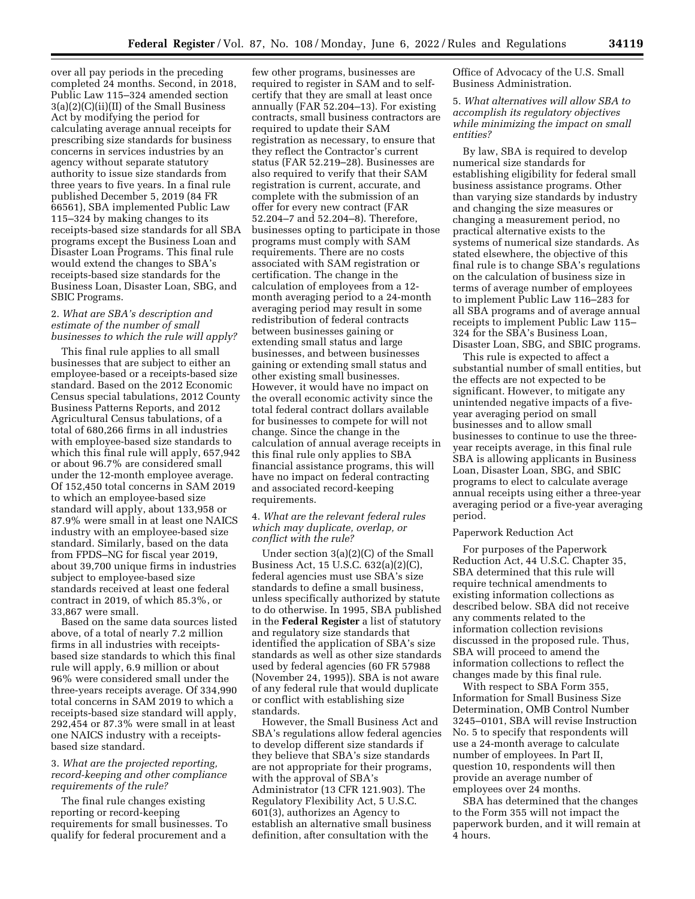over all pay periods in the preceding completed 24 months. Second, in 2018, Public Law 115–324 amended section 3(a)(2)(C)(ii)(II) of the Small Business Act by modifying the period for calculating average annual receipts for prescribing size standards for business concerns in services industries by an agency without separate statutory authority to issue size standards from three years to five years. In a final rule published December 5, 2019 (84 FR 66561), SBA implemented Public Law 115–324 by making changes to its receipts-based size standards for all SBA programs except the Business Loan and Disaster Loan Programs. This final rule would extend the changes to SBA's receipts-based size standards for the Business Loan, Disaster Loan, SBG, and SBIC Programs.

### 2. *What are SBA's description and estimate of the number of small businesses to which the rule will apply?*

This final rule applies to all small businesses that are subject to either an employee-based or a receipts-based size standard. Based on the 2012 Economic Census special tabulations, 2012 County Business Patterns Reports, and 2012 Agricultural Census tabulations, of a total of 680,266 firms in all industries with employee-based size standards to which this final rule will apply, 657,942 or about 96.7% are considered small under the 12-month employee average. Of 152,450 total concerns in SAM 2019 to which an employee-based size standard will apply, about 133,958 or 87.9% were small in at least one NAICS industry with an employee-based size standard. Similarly, based on the data from FPDS–NG for fiscal year 2019, about 39,700 unique firms in industries subject to employee-based size standards received at least one federal contract in 2019, of which 85.3%, or 33,867 were small.

Based on the same data sources listed above, of a total of nearly 7.2 million firms in all industries with receiptsbased size standards to which this final rule will apply, 6.9 million or about 96% were considered small under the three-years receipts average. Of 334,990 total concerns in SAM 2019 to which a receipts-based size standard will apply, 292,454 or 87.3% were small in at least one NAICS industry with a receiptsbased size standard.

# 3. *What are the projected reporting, record-keeping and other compliance requirements of the rule?*

The final rule changes existing reporting or record-keeping requirements for small businesses. To qualify for federal procurement and a

few other programs, businesses are required to register in SAM and to selfcertify that they are small at least once annually (FAR 52.204–13). For existing contracts, small business contractors are required to update their SAM registration as necessary, to ensure that they reflect the Contractor's current status (FAR 52.219–28). Businesses are also required to verify that their SAM registration is current, accurate, and complete with the submission of an offer for every new contract (FAR 52.204–7 and 52.204–8). Therefore, businesses opting to participate in those programs must comply with SAM requirements. There are no costs associated with SAM registration or certification. The change in the calculation of employees from a 12 month averaging period to a 24-month averaging period may result in some redistribution of federal contracts between businesses gaining or extending small status and large businesses, and between businesses gaining or extending small status and other existing small businesses. However, it would have no impact on the overall economic activity since the total federal contract dollars available for businesses to compete for will not change. Since the change in the calculation of annual average receipts in this final rule only applies to SBA financial assistance programs, this will have no impact on federal contracting and associated record-keeping requirements.

### 4. *What are the relevant federal rules which may duplicate, overlap, or conflict with the rule?*

Under section 3(a)(2)(C) of the Small Business Act, 15 U.S.C. 632(a)(2)(C), federal agencies must use SBA's size standards to define a small business, unless specifically authorized by statute to do otherwise. In 1995, SBA published in the **Federal Register** a list of statutory and regulatory size standards that identified the application of SBA's size standards as well as other size standards used by federal agencies (60 FR 57988 (November 24, 1995)). SBA is not aware of any federal rule that would duplicate or conflict with establishing size standards.

However, the Small Business Act and SBA's regulations allow federal agencies to develop different size standards if they believe that SBA's size standards are not appropriate for their programs, with the approval of SBA's Administrator (13 CFR 121.903). The Regulatory Flexibility Act, 5 U.S.C. 601(3), authorizes an Agency to establish an alternative small business definition, after consultation with the

Office of Advocacy of the U.S. Small Business Administration.

5. *What alternatives will allow SBA to accomplish its regulatory objectives while minimizing the impact on small entities?* 

By law, SBA is required to develop numerical size standards for establishing eligibility for federal small business assistance programs. Other than varying size standards by industry and changing the size measures or changing a measurement period, no practical alternative exists to the systems of numerical size standards. As stated elsewhere, the objective of this final rule is to change SBA's regulations on the calculation of business size in terms of average number of employees to implement Public Law 116–283 for all SBA programs and of average annual receipts to implement Public Law 115– 324 for the SBA's Business Loan, Disaster Loan, SBG, and SBIC programs.

This rule is expected to affect a substantial number of small entities, but the effects are not expected to be significant. However, to mitigate any unintended negative impacts of a fiveyear averaging period on small businesses and to allow small businesses to continue to use the threeyear receipts average, in this final rule SBA is allowing applicants in Business Loan, Disaster Loan, SBG, and SBIC programs to elect to calculate average annual receipts using either a three-year averaging period or a five-year averaging period.

### Paperwork Reduction Act

For purposes of the Paperwork Reduction Act, 44 U.S.C. Chapter 35, SBA determined that this rule will require technical amendments to existing information collections as described below. SBA did not receive any comments related to the information collection revisions discussed in the proposed rule. Thus, SBA will proceed to amend the information collections to reflect the changes made by this final rule.

With respect to SBA Form 355, Information for Small Business Size Determination, OMB Control Number 3245–0101, SBA will revise Instruction No. 5 to specify that respondents will use a 24-month average to calculate number of employees. In Part II, question 10, respondents will then provide an average number of employees over 24 months.

SBA has determined that the changes to the Form 355 will not impact the paperwork burden, and it will remain at 4 hours.